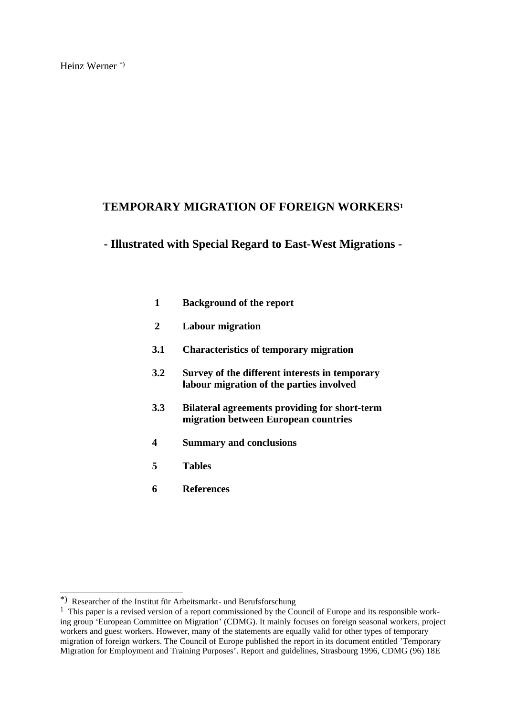## **TEMPORARY MIGRATION OF FOREIGN WORKERS<sup>1</sup>**

### **- Illustrated with Special Regard to East-West Migrations -**

- **1 Background of the report**
- **2 Labour migration**
- **3.1 Characteristics of temporary migration**
- **3.2 Survey of the different interests in temporary labour migration of the parties involved**
- **3.3 Bilateral agreements providing for short-term migration between European countries**
- **4 Summary and conclusions**
- **5 Tables**
- **6 References**

 $\overline{\phantom{a}}$ 

<sup>\*)</sup> Researcher of the Institut für Arbeitsmarkt- und Berufsforschung

<sup>&</sup>lt;sup>1</sup> This paper is a revised version of a report commissioned by the Council of Europe and its responsible working group 'European Committee on Migration' (CDMG). It mainly focuses on foreign seasonal workers, project workers and guest workers. However, many of the statements are equally valid for other types of temporary migration of foreign workers. The Council of Europe published the report in its document entitled 'Temporary Migration for Employment and Training Purposes'. Report and guidelines, Strasbourg 1996, CDMG (96) 18E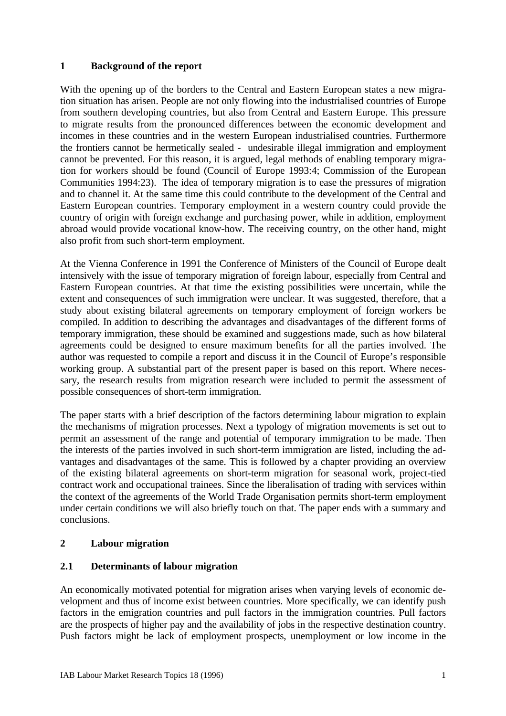### **1 Background of the report**

With the opening up of the borders to the Central and Eastern European states a new migration situation has arisen. People are not only flowing into the industrialised countries of Europe from southern developing countries, but also from Central and Eastern Europe. This pressure to migrate results from the pronounced differences between the economic development and incomes in these countries and in the western European industrialised countries. Furthermore the frontiers cannot be hermetically sealed - undesirable illegal immigration and employment cannot be prevented. For this reason, it is argued, legal methods of enabling temporary migration for workers should be found (Council of Europe 1993:4; Commission of the European Communities 1994:23). The idea of temporary migration is to ease the pressures of migration and to channel it. At the same time this could contribute to the development of the Central and Eastern European countries. Temporary employment in a western country could provide the country of origin with foreign exchange and purchasing power, while in addition, employment abroad would provide vocational know-how. The receiving country, on the other hand, might also profit from such short-term employment.

At the Vienna Conference in 1991 the Conference of Ministers of the Council of Europe dealt intensively with the issue of temporary migration of foreign labour, especially from Central and Eastern European countries. At that time the existing possibilities were uncertain, while the extent and consequences of such immigration were unclear. It was suggested, therefore, that a study about existing bilateral agreements on temporary employment of foreign workers be compiled. In addition to describing the advantages and disadvantages of the different forms of temporary immigration, these should be examined and suggestions made, such as how bilateral agreements could be designed to ensure maximum benefits for all the parties involved. The author was requested to compile a report and discuss it in the Council of Europe's responsible working group. A substantial part of the present paper is based on this report. Where necessary, the research results from migration research were included to permit the assessment of possible consequences of short-term immigration.

The paper starts with a brief description of the factors determining labour migration to explain the mechanisms of migration processes. Next a typology of migration movements is set out to permit an assessment of the range and potential of temporary immigration to be made. Then the interests of the parties involved in such short-term immigration are listed, including the advantages and disadvantages of the same. This is followed by a chapter providing an overview of the existing bilateral agreements on short-term migration for seasonal work, project-tied contract work and occupational trainees. Since the liberalisation of trading with services within the context of the agreements of the World Trade Organisation permits short-term employment under certain conditions we will also briefly touch on that. The paper ends with a summary and conclusions.

### **2 Labour migration**

#### **2.1 Determinants of labour migration**

An economically motivated potential for migration arises when varying levels of economic development and thus of income exist between countries. More specifically, we can identify push factors in the emigration countries and pull factors in the immigration countries. Pull factors are the prospects of higher pay and the availability of jobs in the respective destination country. Push factors might be lack of employment prospects, unemployment or low income in the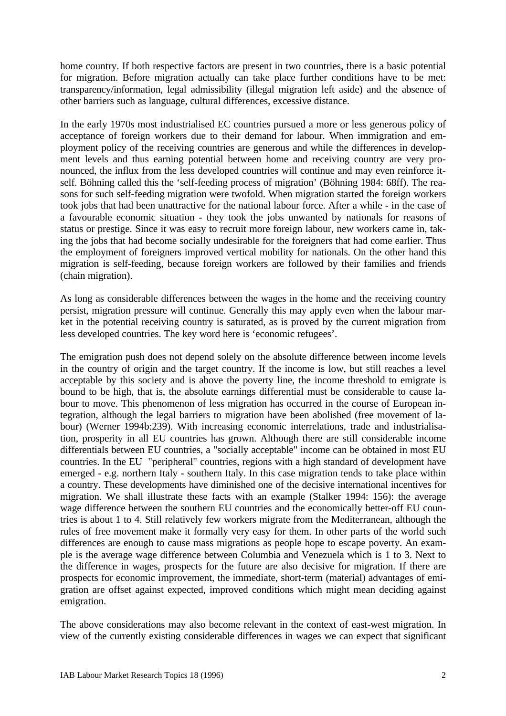home country. If both respective factors are present in two countries, there is a basic potential for migration. Before migration actually can take place further conditions have to be met: transparency/information, legal admissibility (illegal migration left aside) and the absence of other barriers such as language, cultural differences, excessive distance.

In the early 1970s most industrialised EC countries pursued a more or less generous policy of acceptance of foreign workers due to their demand for labour. When immigration and employment policy of the receiving countries are generous and while the differences in development levels and thus earning potential between home and receiving country are very pronounced, the influx from the less developed countries will continue and may even reinforce itself. Böhning called this the 'self-feeding process of migration' (Böhning 1984: 68ff). The reasons for such self-feeding migration were twofold. When migration started the foreign workers took jobs that had been unattractive for the national labour force. After a while - in the case of a favourable economic situation - they took the jobs unwanted by nationals for reasons of status or prestige. Since it was easy to recruit more foreign labour, new workers came in, taking the jobs that had become socially undesirable for the foreigners that had come earlier. Thus the employment of foreigners improved vertical mobility for nationals. On the other hand this migration is self-feeding, because foreign workers are followed by their families and friends (chain migration).

As long as considerable differences between the wages in the home and the receiving country persist, migration pressure will continue. Generally this may apply even when the labour market in the potential receiving country is saturated, as is proved by the current migration from less developed countries. The key word here is 'economic refugees'.

The emigration push does not depend solely on the absolute difference between income levels in the country of origin and the target country. If the income is low, but still reaches a level acceptable by this society and is above the poverty line, the income threshold to emigrate is bound to be high, that is, the absolute earnings differential must be considerable to cause labour to move. This phenomenon of less migration has occurred in the course of European integration, although the legal barriers to migration have been abolished (free movement of labour) (Werner 1994b:239). With increasing economic interrelations, trade and industrialisation, prosperity in all EU countries has grown. Although there are still considerable income differentials between EU countries, a "socially acceptable" income can be obtained in most EU countries. In the EU "peripheral" countries, regions with a high standard of development have emerged - e.g. northern Italy - southern Italy. In this case migration tends to take place within a country. These developments have diminished one of the decisive international incentives for migration. We shall illustrate these facts with an example (Stalker 1994: 156): the average wage difference between the southern EU countries and the economically better-off EU countries is about 1 to 4. Still relatively few workers migrate from the Mediterranean, although the rules of free movement make it formally very easy for them. In other parts of the world such differences are enough to cause mass migrations as people hope to escape poverty. An example is the average wage difference between Columbia and Venezuela which is 1 to 3. Next to the difference in wages, prospects for the future are also decisive for migration. If there are prospects for economic improvement, the immediate, short-term (material) advantages of emigration are offset against expected, improved conditions which might mean deciding against emigration.

The above considerations may also become relevant in the context of east-west migration. In view of the currently existing considerable differences in wages we can expect that significant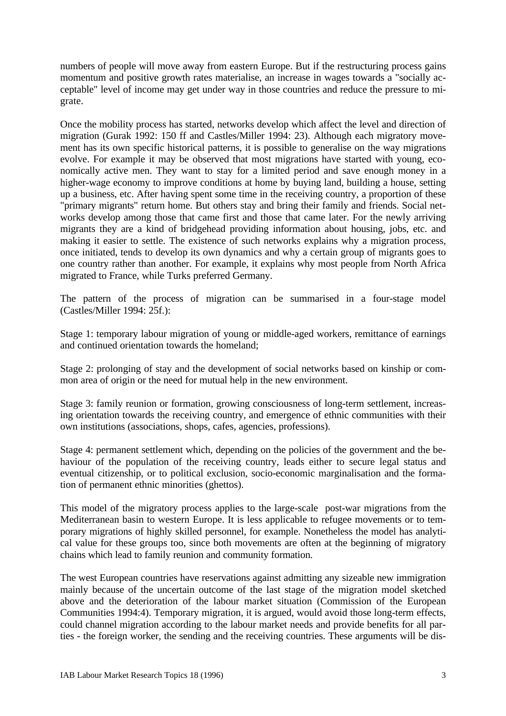numbers of people will move away from eastern Europe. But if the restructuring process gains momentum and positive growth rates materialise, an increase in wages towards a "socially acceptable" level of income may get under way in those countries and reduce the pressure to migrate.

Once the mobility process has started, networks develop which affect the level and direction of migration (Gurak 1992: 150 ff and Castles/Miller 1994: 23). Although each migratory movement has its own specific historical patterns, it is possible to generalise on the way migrations evolve. For example it may be observed that most migrations have started with young, economically active men. They want to stay for a limited period and save enough money in a higher-wage economy to improve conditions at home by buying land, building a house, setting up a business, etc. After having spent some time in the receiving country, a proportion of these "primary migrants" return home. But others stay and bring their family and friends. Social networks develop among those that came first and those that came later. For the newly arriving migrants they are a kind of bridgehead providing information about housing, jobs, etc. and making it easier to settle. The existence of such networks explains why a migration process, once initiated, tends to develop its own dynamics and why a certain group of migrants goes to one country rather than another. For example, it explains why most people from North Africa migrated to France, while Turks preferred Germany.

The pattern of the process of migration can be summarised in a four-stage model (Castles/Miller 1994: 25f.):

Stage 1: temporary labour migration of young or middle-aged workers, remittance of earnings and continued orientation towards the homeland;

Stage 2: prolonging of stay and the development of social networks based on kinship or common area of origin or the need for mutual help in the new environment.

Stage 3: family reunion or formation, growing consciousness of long-term settlement, increasing orientation towards the receiving country, and emergence of ethnic communities with their own institutions (associations, shops, cafes, agencies, professions).

Stage 4: permanent settlement which, depending on the policies of the government and the behaviour of the population of the receiving country, leads either to secure legal status and eventual citizenship, or to political exclusion, socio-economic marginalisation and the formation of permanent ethnic minorities (ghettos).

This model of the migratory process applies to the large-scale post-war migrations from the Mediterranean basin to western Europe. It is less applicable to refugee movements or to temporary migrations of highly skilled personnel, for example. Nonetheless the model has analytical value for these groups too, since both movements are often at the beginning of migratory chains which lead to family reunion and community formation.

The west European countries have reservations against admitting any sizeable new immigration mainly because of the uncertain outcome of the last stage of the migration model sketched above and the deterioration of the labour market situation (Commission of the European Communities 1994:4). Temporary migration, it is argued, would avoid those long-term effects, could channel migration according to the labour market needs and provide benefits for all parties - the foreign worker, the sending and the receiving countries. These arguments will be dis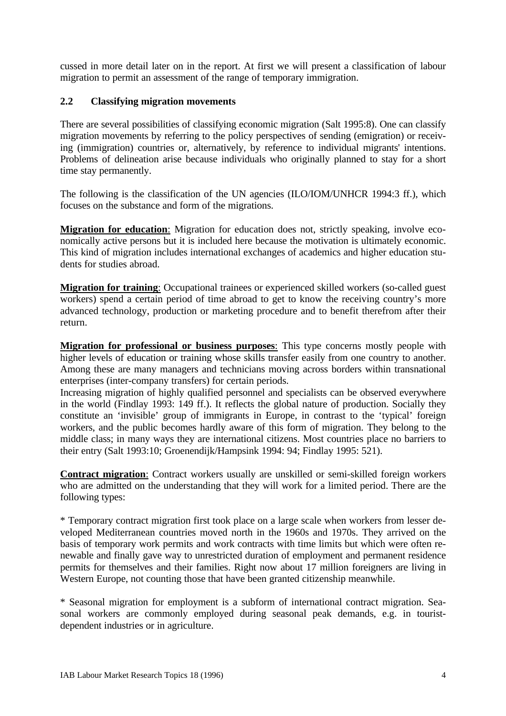cussed in more detail later on in the report. At first we will present a classification of labour migration to permit an assessment of the range of temporary immigration.

#### **2.2 Classifying migration movements**

There are several possibilities of classifying economic migration (Salt 1995:8). One can classify migration movements by referring to the policy perspectives of sending (emigration) or receiving (immigration) countries or, alternatively, by reference to individual migrants' intentions. Problems of delineation arise because individuals who originally planned to stay for a short time stay permanently.

The following is the classification of the UN agencies (ILO/IOM/UNHCR 1994:3 ff.), which focuses on the substance and form of the migrations.

**Migration for education**: Migration for education does not, strictly speaking, involve economically active persons but it is included here because the motivation is ultimately economic. This kind of migration includes international exchanges of academics and higher education students for studies abroad.

**Migration for training**: Occupational trainees or experienced skilled workers (so-called guest workers) spend a certain period of time abroad to get to know the receiving country's more advanced technology, production or marketing procedure and to benefit therefrom after their return.

**Migration for professional or business purposes**: This type concerns mostly people with higher levels of education or training whose skills transfer easily from one country to another. Among these are many managers and technicians moving across borders within transnational enterprises (inter-company transfers) for certain periods.

Increasing migration of highly qualified personnel and specialists can be observed everywhere in the world (Findlay 1993: 149 ff.). It reflects the global nature of production. Socially they constitute an 'invisible' group of immigrants in Europe, in contrast to the 'typical' foreign workers, and the public becomes hardly aware of this form of migration. They belong to the middle class; in many ways they are international citizens. Most countries place no barriers to their entry (Salt 1993:10; Groenendijk/Hampsink 1994: 94; Findlay 1995: 521).

**Contract migration**: Contract workers usually are unskilled or semi-skilled foreign workers who are admitted on the understanding that they will work for a limited period. There are the following types:

\* Temporary contract migration first took place on a large scale when workers from lesser developed Mediterranean countries moved north in the 1960s and 1970s. They arrived on the basis of temporary work permits and work contracts with time limits but which were often renewable and finally gave way to unrestricted duration of employment and permanent residence permits for themselves and their families. Right now about 17 million foreigners are living in Western Europe, not counting those that have been granted citizenship meanwhile.

\* Seasonal migration for employment is a subform of international contract migration. Seasonal workers are commonly employed during seasonal peak demands, e.g. in touristdependent industries or in agriculture.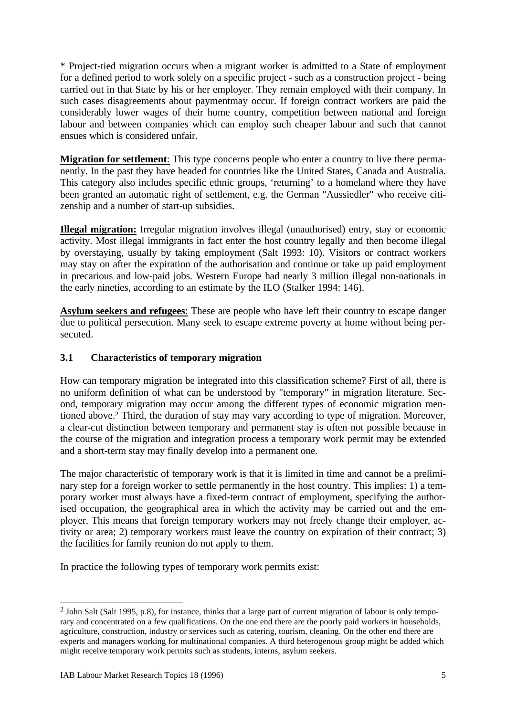\* Project-tied migration occurs when a migrant worker is admitted to a State of employment for a defined period to work solely on a specific project - such as a construction project - being carried out in that State by his or her employer. They remain employed with their company. In such cases disagreements about paymentmay occur. If foreign contract workers are paid the considerably lower wages of their home country, competition between national and foreign labour and between companies which can employ such cheaper labour and such that cannot ensues which is considered unfair.

**Migration for settlement**: This type concerns people who enter a country to live there permanently. In the past they have headed for countries like the United States, Canada and Australia. This category also includes specific ethnic groups, 'returning' to a homeland where they have been granted an automatic right of settlement, e.g. the German "Aussiedler" who receive citizenship and a number of start-up subsidies.

**Illegal migration:** Irregular migration involves illegal (unauthorised) entry, stay or economic activity. Most illegal immigrants in fact enter the host country legally and then become illegal by overstaying, usually by taking employment (Salt 1993: 10). Visitors or contract workers may stay on after the expiration of the authorisation and continue or take up paid employment in precarious and low-paid jobs. Western Europe had nearly 3 million illegal non-nationals in the early nineties, according to an estimate by the ILO (Stalker 1994: 146).

**Asylum seekers and refugees**: These are people who have left their country to escape danger due to political persecution. Many seek to escape extreme poverty at home without being persecuted.

### **3.1 Characteristics of temporary migration**

How can temporary migration be integrated into this classification scheme? First of all, there is no uniform definition of what can be understood by "temporary" in migration literature. Second, temporary migration may occur among the different types of economic migration mentioned above.<sup>2</sup> Third, the duration of stay may vary according to type of migration. Moreover, a clear-cut distinction between temporary and permanent stay is often not possible because in the course of the migration and integration process a temporary work permit may be extended and a short-term stay may finally develop into a permanent one.

The major characteristic of temporary work is that it is limited in time and cannot be a preliminary step for a foreign worker to settle permanently in the host country. This implies: 1) a temporary worker must always have a fixed-term contract of employment, specifying the authorised occupation, the geographical area in which the activity may be carried out and the employer. This means that foreign temporary workers may not freely change their employer, activity or area; 2) temporary workers must leave the country on expiration of their contract; 3) the facilities for family reunion do not apply to them.

In practice the following types of temporary work permits exist:

 $\overline{a}$ 

<sup>&</sup>lt;sup>2</sup> John Salt (Salt 1995, p.8), for instance, thinks that a large part of current migration of labour is only temporary and concentrated on a few qualifications. On the one end there are the poorly paid workers in households, agriculture, construction, industry or services such as catering, tourism, cleaning. On the other end there are experts and managers working for multinational companies. A third heterogenous group might be added which might receive temporary work permits such as students, interns, asylum seekers.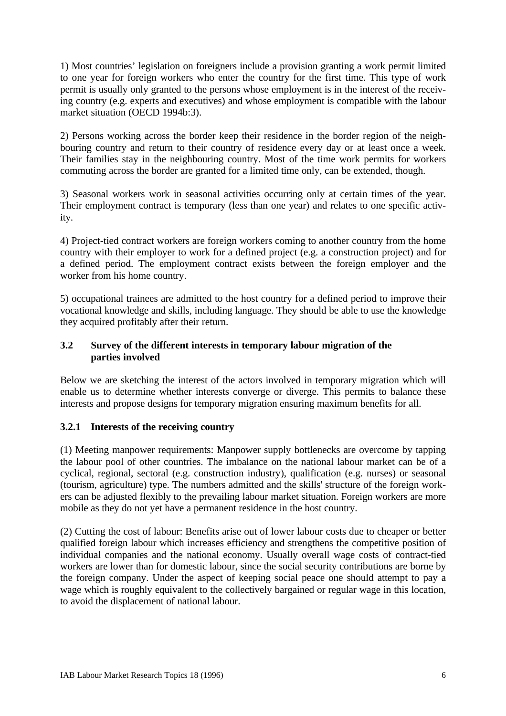1) Most countries' legislation on foreigners include a provision granting a work permit limited to one year for foreign workers who enter the country for the first time. This type of work permit is usually only granted to the persons whose employment is in the interest of the receiving country (e.g. experts and executives) and whose employment is compatible with the labour market situation (OECD 1994b:3).

2) Persons working across the border keep their residence in the border region of the neighbouring country and return to their country of residence every day or at least once a week. Their families stay in the neighbouring country. Most of the time work permits for workers commuting across the border are granted for a limited time only, can be extended, though.

3) Seasonal workers work in seasonal activities occurring only at certain times of the year. Their employment contract is temporary (less than one year) and relates to one specific activity.

4) Project-tied contract workers are foreign workers coming to another country from the home country with their employer to work for a defined project (e.g. a construction project) and for a defined period. The employment contract exists between the foreign employer and the worker from his home country.

5) occupational trainees are admitted to the host country for a defined period to improve their vocational knowledge and skills, including language. They should be able to use the knowledge they acquired profitably after their return.

#### **3.2 Survey of the different interests in temporary labour migration of the parties involved**

Below we are sketching the interest of the actors involved in temporary migration which will enable us to determine whether interests converge or diverge. This permits to balance these interests and propose designs for temporary migration ensuring maximum benefits for all.

### **3.2.1 Interests of the receiving country**

(1) Meeting manpower requirements: Manpower supply bottlenecks are overcome by tapping the labour pool of other countries. The imbalance on the national labour market can be of a cyclical, regional, sectoral (e.g. construction industry), qualification (e.g. nurses) or seasonal (tourism, agriculture) type. The numbers admitted and the skills' structure of the foreign workers can be adjusted flexibly to the prevailing labour market situation. Foreign workers are more mobile as they do not yet have a permanent residence in the host country.

(2) Cutting the cost of labour: Benefits arise out of lower labour costs due to cheaper or better qualified foreign labour which increases efficiency and strengthens the competitive position of individual companies and the national economy. Usually overall wage costs of contract-tied workers are lower than for domestic labour, since the social security contributions are borne by the foreign company. Under the aspect of keeping social peace one should attempt to pay a wage which is roughly equivalent to the collectively bargained or regular wage in this location, to avoid the displacement of national labour.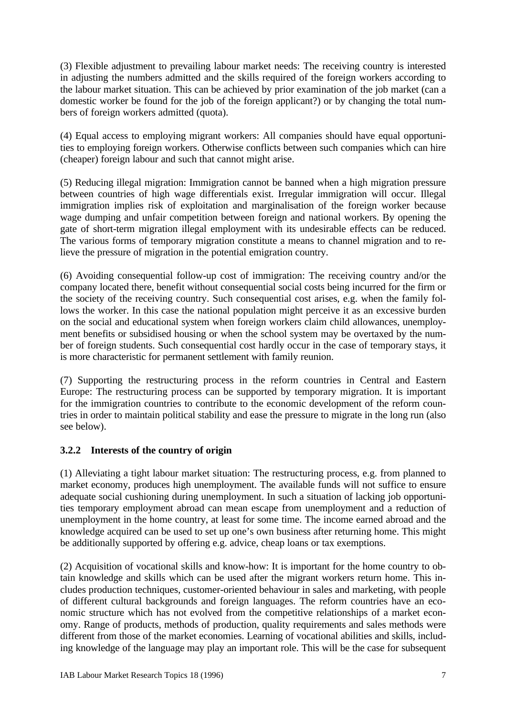(3) Flexible adjustment to prevailing labour market needs: The receiving country is interested in adjusting the numbers admitted and the skills required of the foreign workers according to the labour market situation. This can be achieved by prior examination of the job market (can a domestic worker be found for the job of the foreign applicant?) or by changing the total numbers of foreign workers admitted (quota).

(4) Equal access to employing migrant workers: All companies should have equal opportunities to employing foreign workers. Otherwise conflicts between such companies which can hire (cheaper) foreign labour and such that cannot might arise.

(5) Reducing illegal migration: Immigration cannot be banned when a high migration pressure between countries of high wage differentials exist. Irregular immigration will occur. Illegal immigration implies risk of exploitation and marginalisation of the foreign worker because wage dumping and unfair competition between foreign and national workers. By opening the gate of short-term migration illegal employment with its undesirable effects can be reduced. The various forms of temporary migration constitute a means to channel migration and to relieve the pressure of migration in the potential emigration country.

(6) Avoiding consequential follow-up cost of immigration: The receiving country and/or the company located there, benefit without consequential social costs being incurred for the firm or the society of the receiving country. Such consequential cost arises, e.g. when the family follows the worker. In this case the national population might perceive it as an excessive burden on the social and educational system when foreign workers claim child allowances, unemployment benefits or subsidised housing or when the school system may be overtaxed by the number of foreign students. Such consequential cost hardly occur in the case of temporary stays, it is more characteristic for permanent settlement with family reunion.

(7) Supporting the restructuring process in the reform countries in Central and Eastern Europe: The restructuring process can be supported by temporary migration. It is important for the immigration countries to contribute to the economic development of the reform countries in order to maintain political stability and ease the pressure to migrate in the long run (also see below).

### **3.2.2 Interests of the country of origin**

(1) Alleviating a tight labour market situation: The restructuring process, e.g. from planned to market economy, produces high unemployment. The available funds will not suffice to ensure adequate social cushioning during unemployment. In such a situation of lacking job opportunities temporary employment abroad can mean escape from unemployment and a reduction of unemployment in the home country, at least for some time. The income earned abroad and the knowledge acquired can be used to set up one's own business after returning home. This might be additionally supported by offering e.g. advice, cheap loans or tax exemptions.

(2) Acquisition of vocational skills and know-how: It is important for the home country to obtain knowledge and skills which can be used after the migrant workers return home. This includes production techniques, customer-oriented behaviour in sales and marketing, with people of different cultural backgrounds and foreign languages. The reform countries have an economic structure which has not evolved from the competitive relationships of a market economy. Range of products, methods of production, quality requirements and sales methods were different from those of the market economies. Learning of vocational abilities and skills, including knowledge of the language may play an important role. This will be the case for subsequent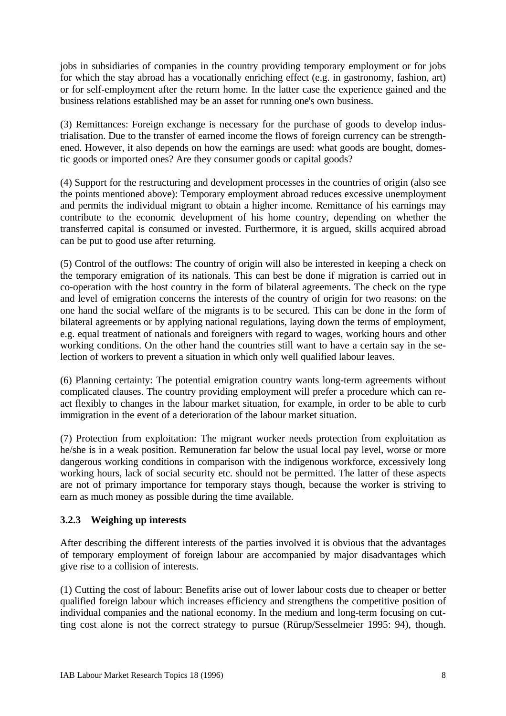jobs in subsidiaries of companies in the country providing temporary employment or for jobs for which the stay abroad has a vocationally enriching effect (e.g. in gastronomy, fashion, art) or for self-employment after the return home. In the latter case the experience gained and the business relations established may be an asset for running one's own business.

(3) Remittances: Foreign exchange is necessary for the purchase of goods to develop industrialisation. Due to the transfer of earned income the flows of foreign currency can be strengthened. However, it also depends on how the earnings are used: what goods are bought, domestic goods or imported ones? Are they consumer goods or capital goods?

(4) Support for the restructuring and development processes in the countries of origin (also see the points mentioned above): Temporary employment abroad reduces excessive unemployment and permits the individual migrant to obtain a higher income. Remittance of his earnings may contribute to the economic development of his home country, depending on whether the transferred capital is consumed or invested. Furthermore, it is argued, skills acquired abroad can be put to good use after returning.

(5) Control of the outflows: The country of origin will also be interested in keeping a check on the temporary emigration of its nationals. This can best be done if migration is carried out in co-operation with the host country in the form of bilateral agreements. The check on the type and level of emigration concerns the interests of the country of origin for two reasons: on the one hand the social welfare of the migrants is to be secured. This can be done in the form of bilateral agreements or by applying national regulations, laying down the terms of employment, e.g. equal treatment of nationals and foreigners with regard to wages, working hours and other working conditions. On the other hand the countries still want to have a certain say in the selection of workers to prevent a situation in which only well qualified labour leaves.

(6) Planning certainty: The potential emigration country wants long-term agreements without complicated clauses. The country providing employment will prefer a procedure which can react flexibly to changes in the labour market situation, for example, in order to be able to curb immigration in the event of a deterioration of the labour market situation.

(7) Protection from exploitation: The migrant worker needs protection from exploitation as he/she is in a weak position. Remuneration far below the usual local pay level, worse or more dangerous working conditions in comparison with the indigenous workforce, excessively long working hours, lack of social security etc. should not be permitted. The latter of these aspects are not of primary importance for temporary stays though, because the worker is striving to earn as much money as possible during the time available.

### **3.2.3 Weighing up interests**

After describing the different interests of the parties involved it is obvious that the advantages of temporary employment of foreign labour are accompanied by major disadvantages which give rise to a collision of interests.

(1) Cutting the cost of labour: Benefits arise out of lower labour costs due to cheaper or better qualified foreign labour which increases efficiency and strengthens the competitive position of individual companies and the national economy. In the medium and long-term focusing on cutting cost alone is not the correct strategy to pursue (Rürup/Sesselmeier 1995: 94), though.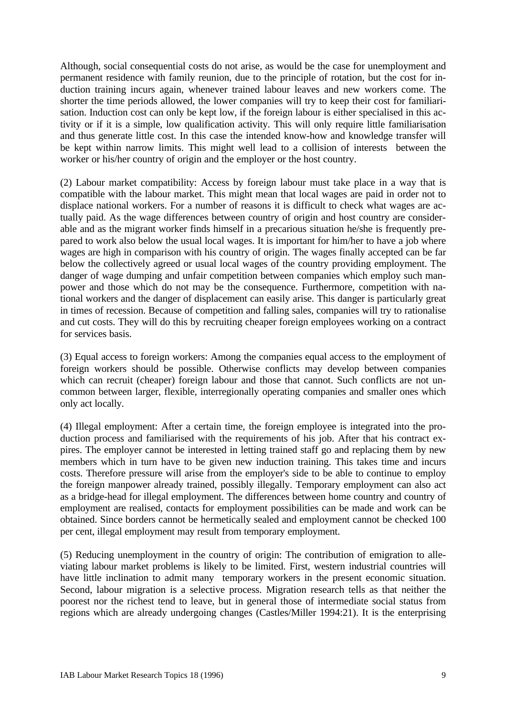Although, social consequential costs do not arise, as would be the case for unemployment and permanent residence with family reunion, due to the principle of rotation, but the cost for induction training incurs again, whenever trained labour leaves and new workers come. The shorter the time periods allowed, the lower companies will try to keep their cost for familiarisation. Induction cost can only be kept low, if the foreign labour is either specialised in this activity or if it is a simple, low qualification activity. This will only require little familiarisation and thus generate little cost. In this case the intended know-how and knowledge transfer will be kept within narrow limits. This might well lead to a collision of interests between the worker or his/her country of origin and the employer or the host country.

(2) Labour market compatibility: Access by foreign labour must take place in a way that is compatible with the labour market. This might mean that local wages are paid in order not to displace national workers. For a number of reasons it is difficult to check what wages are actually paid. As the wage differences between country of origin and host country are considerable and as the migrant worker finds himself in a precarious situation he/she is frequently prepared to work also below the usual local wages. It is important for him/her to have a job where wages are high in comparison with his country of origin. The wages finally accepted can be far below the collectively agreed or usual local wages of the country providing employment. The danger of wage dumping and unfair competition between companies which employ such manpower and those which do not may be the consequence. Furthermore, competition with national workers and the danger of displacement can easily arise. This danger is particularly great in times of recession. Because of competition and falling sales, companies will try to rationalise and cut costs. They will do this by recruiting cheaper foreign employees working on a contract for services basis.

(3) Equal access to foreign workers: Among the companies equal access to the employment of foreign workers should be possible. Otherwise conflicts may develop between companies which can recruit (cheaper) foreign labour and those that cannot. Such conflicts are not uncommon between larger, flexible, interregionally operating companies and smaller ones which only act locally.

(4) Illegal employment: After a certain time, the foreign employee is integrated into the production process and familiarised with the requirements of his job. After that his contract expires. The employer cannot be interested in letting trained staff go and replacing them by new members which in turn have to be given new induction training. This takes time and incurs costs. Therefore pressure will arise from the employer's side to be able to continue to employ the foreign manpower already trained, possibly illegally. Temporary employment can also act as a bridge-head for illegal employment. The differences between home country and country of employment are realised, contacts for employment possibilities can be made and work can be obtained. Since borders cannot be hermetically sealed and employment cannot be checked 100 per cent, illegal employment may result from temporary employment.

(5) Reducing unemployment in the country of origin: The contribution of emigration to alleviating labour market problems is likely to be limited. First, western industrial countries will have little inclination to admit many temporary workers in the present economic situation. Second, labour migration is a selective process. Migration research tells as that neither the poorest nor the richest tend to leave, but in general those of intermediate social status from regions which are already undergoing changes (Castles/Miller 1994:21). It is the enterprising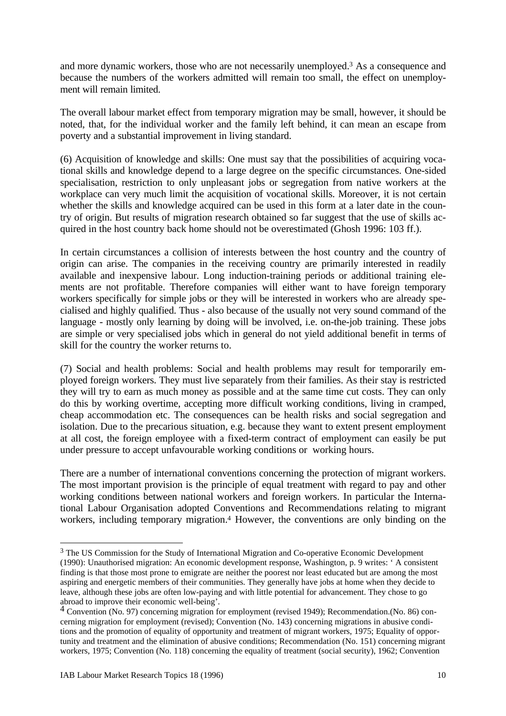and more dynamic workers, those who are not necessarily unemployed.<sup>3</sup> As a consequence and because the numbers of the workers admitted will remain too small, the effect on unemployment will remain limited.

The overall labour market effect from temporary migration may be small, however, it should be noted, that, for the individual worker and the family left behind, it can mean an escape from poverty and a substantial improvement in living standard.

(6) Acquisition of knowledge and skills: One must say that the possibilities of acquiring vocational skills and knowledge depend to a large degree on the specific circumstances. One-sided specialisation, restriction to only unpleasant jobs or segregation from native workers at the workplace can very much limit the acquisition of vocational skills. Moreover, it is not certain whether the skills and knowledge acquired can be used in this form at a later date in the country of origin. But results of migration research obtained so far suggest that the use of skills acquired in the host country back home should not be overestimated (Ghosh 1996: 103 ff.).

In certain circumstances a collision of interests between the host country and the country of origin can arise. The companies in the receiving country are primarily interested in readily available and inexpensive labour. Long induction-training periods or additional training elements are not profitable. Therefore companies will either want to have foreign temporary workers specifically for simple jobs or they will be interested in workers who are already specialised and highly qualified. Thus - also because of the usually not very sound command of the language - mostly only learning by doing will be involved, i.e. on-the-job training. These jobs are simple or very specialised jobs which in general do not yield additional benefit in terms of skill for the country the worker returns to.

(7) Social and health problems: Social and health problems may result for temporarily employed foreign workers. They must live separately from their families. As their stay is restricted they will try to earn as much money as possible and at the same time cut costs. They can only do this by working overtime, accepting more difficult working conditions, living in cramped, cheap accommodation etc. The consequences can be health risks and social segregation and isolation. Due to the precarious situation, e.g. because they want to extent present employment at all cost, the foreign employee with a fixed-term contract of employment can easily be put under pressure to accept unfavourable working conditions or working hours.

There are a number of international conventions concerning the protection of migrant workers. The most important provision is the principle of equal treatment with regard to pay and other working conditions between national workers and foreign workers. In particular the International Labour Organisation adopted Conventions and Recommendations relating to migrant workers, including temporary migration.<sup>4</sup> However, the conventions are only binding on the

 $\overline{a}$ <sup>3</sup> The US Commission for the Study of International Migration and Co-operative Economic Development (1990): Unauthorised migration: An economic development response, Washington, p. 9 writes: ' A consistent finding is that those most prone to emigrate are neither the poorest nor least educated but are among the most aspiring and energetic members of their communities. They generally have jobs at home when they decide to leave, although these jobs are often low-paying and with little potential for advancement. They chose to go abroad to improve their economic well-being'.

<sup>4</sup> Convention (No. 97) concerning migration for employment (revised 1949); Recommendation.(No. 86) concerning migration for employment (revised); Convention (No. 143) concerning migrations in abusive conditions and the promotion of equality of opportunity and treatment of migrant workers, 1975; Equality of opportunity and treatment and the elimination of abusive conditions; Recommendation (No. 151) concerning migrant workers, 1975; Convention (No. 118) concerning the equality of treatment (social security), 1962; Convention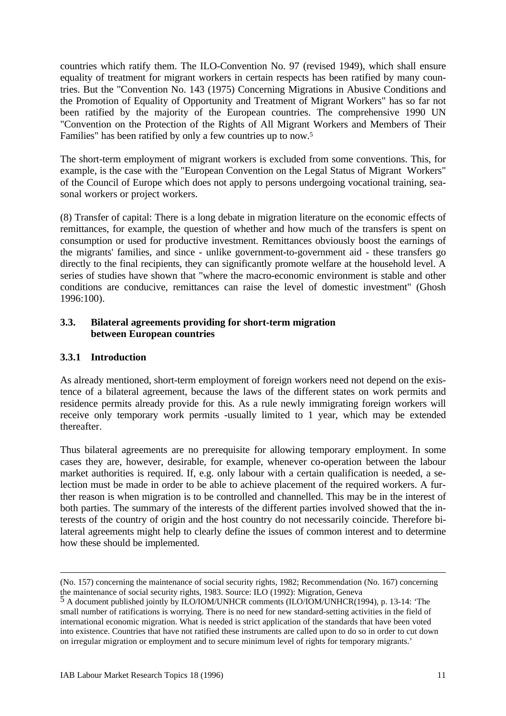countries which ratify them. The ILO-Convention No. 97 (revised 1949), which shall ensure equality of treatment for migrant workers in certain respects has been ratified by many countries. But the "Convention No. 143 (1975) Concerning Migrations in Abusive Conditions and the Promotion of Equality of Opportunity and Treatment of Migrant Workers" has so far not been ratified by the majority of the European countries. The comprehensive 1990 UN "Convention on the Protection of the Rights of All Migrant Workers and Members of Their Families" has been ratified by only a few countries up to now.<sup>5</sup>

The short-term employment of migrant workers is excluded from some conventions. This, for example, is the case with the "European Convention on the Legal Status of Migrant Workers" of the Council of Europe which does not apply to persons undergoing vocational training, seasonal workers or project workers.

(8) Transfer of capital: There is a long debate in migration literature on the economic effects of remittances, for example, the question of whether and how much of the transfers is spent on consumption or used for productive investment. Remittances obviously boost the earnings of the migrants' families, and since - unlike government-to-government aid - these transfers go directly to the final recipients, they can significantly promote welfare at the household level. A series of studies have shown that "where the macro-economic environment is stable and other conditions are conducive, remittances can raise the level of domestic investment" (Ghosh 1996:100).

#### **3.3. Bilateral agreements providing for short-term migration between European countries**

## **3.3.1 Introduction**

<u>.</u>

As already mentioned, short-term employment of foreign workers need not depend on the existence of a bilateral agreement, because the laws of the different states on work permits and residence permits already provide for this. As a rule newly immigrating foreign workers will receive only temporary work permits -usually limited to 1 year, which may be extended thereafter.

Thus bilateral agreements are no prerequisite for allowing temporary employment. In some cases they are, however, desirable, for example, whenever co-operation between the labour market authorities is required. If, e.g. only labour with a certain qualification is needed, a selection must be made in order to be able to achieve placement of the required workers. A further reason is when migration is to be controlled and channelled. This may be in the interest of both parties. The summary of the interests of the different parties involved showed that the interests of the country of origin and the host country do not necessarily coincide. Therefore bilateral agreements might help to clearly define the issues of common interest and to determine how these should be implemented.

<sup>(</sup>No. 157) concerning the maintenance of social security rights, 1982; Recommendation (No. 167) concerning the maintenance of social security rights, 1983. Source: ILO (1992): Migration, Geneva

<sup>5</sup> A document published jointly by ILO/IOM/UNHCR comments (ILO/IOM/UNHCR(1994), p. 13-14: 'The small number of ratifications is worrying. There is no need for new standard-setting activities in the field of international economic migration. What is needed is strict application of the standards that have been voted into existence. Countries that have not ratified these instruments are called upon to do so in order to cut down on irregular migration or employment and to secure minimum level of rights for temporary migrants.'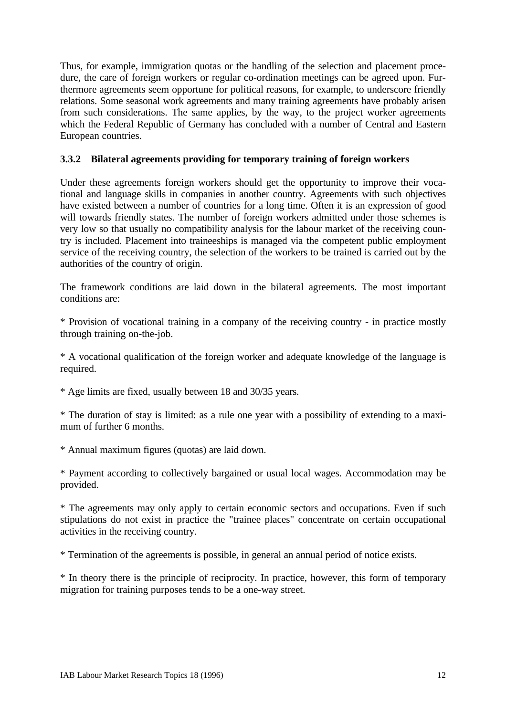Thus, for example, immigration quotas or the handling of the selection and placement procedure, the care of foreign workers or regular co-ordination meetings can be agreed upon. Furthermore agreements seem opportune for political reasons, for example, to underscore friendly relations. Some seasonal work agreements and many training agreements have probably arisen from such considerations. The same applies, by the way, to the project worker agreements which the Federal Republic of Germany has concluded with a number of Central and Eastern European countries.

### **3.3.2 Bilateral agreements providing for temporary training of foreign workers**

Under these agreements foreign workers should get the opportunity to improve their vocational and language skills in companies in another country. Agreements with such objectives have existed between a number of countries for a long time. Often it is an expression of good will towards friendly states. The number of foreign workers admitted under those schemes is very low so that usually no compatibility analysis for the labour market of the receiving country is included. Placement into traineeships is managed via the competent public employment service of the receiving country, the selection of the workers to be trained is carried out by the authorities of the country of origin.

The framework conditions are laid down in the bilateral agreements. The most important conditions are:

\* Provision of vocational training in a company of the receiving country - in practice mostly through training on-the-job.

\* A vocational qualification of the foreign worker and adequate knowledge of the language is required.

\* Age limits are fixed, usually between 18 and 30/35 years.

\* The duration of stay is limited: as a rule one year with a possibility of extending to a maximum of further 6 months.

\* Annual maximum figures (quotas) are laid down.

\* Payment according to collectively bargained or usual local wages. Accommodation may be provided.

\* The agreements may only apply to certain economic sectors and occupations. Even if such stipulations do not exist in practice the "trainee places" concentrate on certain occupational activities in the receiving country.

\* Termination of the agreements is possible, in general an annual period of notice exists.

\* In theory there is the principle of reciprocity. In practice, however, this form of temporary migration for training purposes tends to be a one-way street.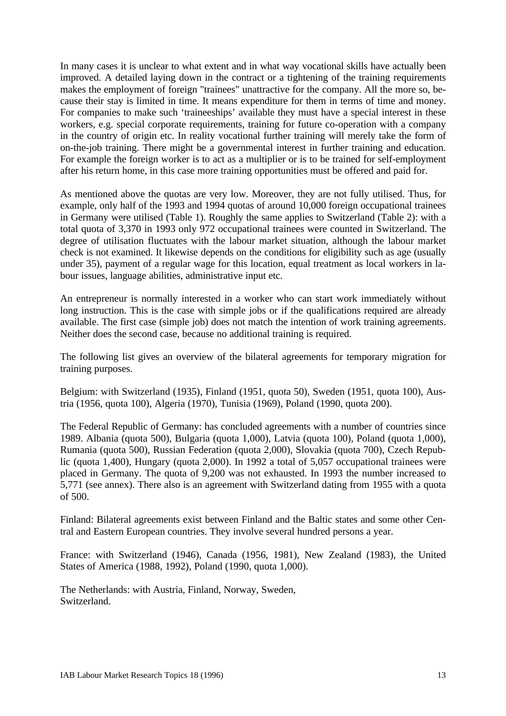In many cases it is unclear to what extent and in what way vocational skills have actually been improved. A detailed laying down in the contract or a tightening of the training requirements makes the employment of foreign "trainees" unattractive for the company. All the more so, because their stay is limited in time. It means expenditure for them in terms of time and money. For companies to make such 'traineeships' available they must have a special interest in these workers, e.g. special corporate requirements, training for future co-operation with a company in the country of origin etc. In reality vocational further training will merely take the form of on-the-job training. There might be a governmental interest in further training and education. For example the foreign worker is to act as a multiplier or is to be trained for self-employment after his return home, in this case more training opportunities must be offered and paid for.

As mentioned above the quotas are very low. Moreover, they are not fully utilised. Thus, for example, only half of the 1993 and 1994 quotas of around 10,000 foreign occupational trainees in Germany were utilised (Table 1). Roughly the same applies to Switzerland (Table 2): with a total quota of 3,370 in 1993 only 972 occupational trainees were counted in Switzerland. The degree of utilisation fluctuates with the labour market situation, although the labour market check is not examined. It likewise depends on the conditions for eligibility such as age (usually under 35), payment of a regular wage for this location, equal treatment as local workers in labour issues, language abilities, administrative input etc.

An entrepreneur is normally interested in a worker who can start work immediately without long instruction. This is the case with simple jobs or if the qualifications required are already available. The first case (simple job) does not match the intention of work training agreements. Neither does the second case, because no additional training is required.

The following list gives an overview of the bilateral agreements for temporary migration for training purposes.

Belgium: with Switzerland (1935), Finland (1951, quota 50), Sweden (1951, quota 100), Austria (1956, quota 100), Algeria (1970), Tunisia (1969), Poland (1990, quota 200).

The Federal Republic of Germany: has concluded agreements with a number of countries since 1989. Albania (quota 500), Bulgaria (quota 1,000), Latvia (quota 100), Poland (quota 1,000), Rumania (quota 500), Russian Federation (quota 2,000), Slovakia (quota 700), Czech Republic (quota 1,400), Hungary (quota 2,000). In 1992 a total of 5,057 occupational trainees were placed in Germany. The quota of 9,200 was not exhausted. In 1993 the number increased to 5,771 (see annex). There also is an agreement with Switzerland dating from 1955 with a quota of 500.

Finland: Bilateral agreements exist between Finland and the Baltic states and some other Central and Eastern European countries. They involve several hundred persons a year.

France: with Switzerland (1946), Canada (1956, 1981), New Zealand (1983), the United States of America (1988, 1992), Poland (1990, quota 1,000).

The Netherlands: with Austria, Finland, Norway, Sweden, Switzerland.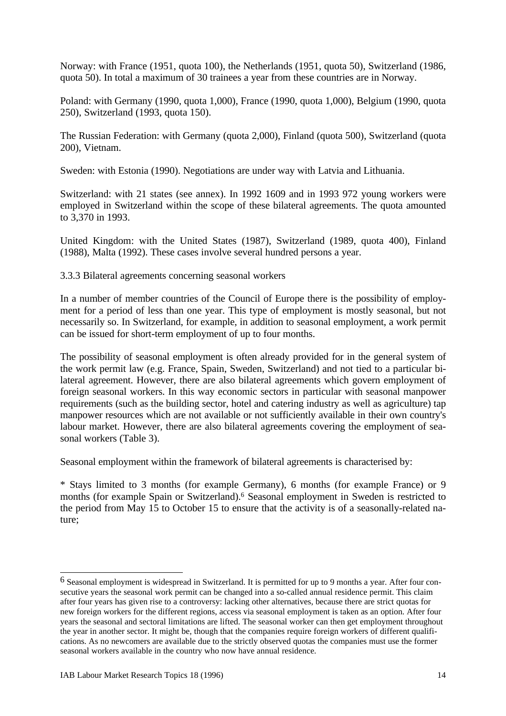Norway: with France (1951, quota 100), the Netherlands (1951, quota 50), Switzerland (1986, quota 50). In total a maximum of 30 trainees a year from these countries are in Norway.

Poland: with Germany (1990, quota 1,000), France (1990, quota 1,000), Belgium (1990, quota 250), Switzerland (1993, quota 150).

The Russian Federation: with Germany (quota 2,000), Finland (quota 500), Switzerland (quota 200), Vietnam.

Sweden: with Estonia (1990). Negotiations are under way with Latvia and Lithuania.

Switzerland: with 21 states (see annex). In 1992 1609 and in 1993 972 young workers were employed in Switzerland within the scope of these bilateral agreements. The quota amounted to 3,370 in 1993.

United Kingdom: with the United States (1987), Switzerland (1989, quota 400), Finland (1988), Malta (1992). These cases involve several hundred persons a year.

3.3.3 Bilateral agreements concerning seasonal workers

In a number of member countries of the Council of Europe there is the possibility of employment for a period of less than one year. This type of employment is mostly seasonal, but not necessarily so. In Switzerland, for example, in addition to seasonal employment, a work permit can be issued for short-term employment of up to four months.

The possibility of seasonal employment is often already provided for in the general system of the work permit law (e.g. France, Spain, Sweden, Switzerland) and not tied to a particular bilateral agreement. However, there are also bilateral agreements which govern employment of foreign seasonal workers. In this way economic sectors in particular with seasonal manpower requirements (such as the building sector, hotel and catering industry as well as agriculture) tap manpower resources which are not available or not sufficiently available in their own country's labour market. However, there are also bilateral agreements covering the employment of seasonal workers (Table 3).

Seasonal employment within the framework of bilateral agreements is characterised by:

\* Stays limited to 3 months (for example Germany), 6 months (for example France) or 9 months (for example Spain or Switzerland).<sup>6</sup> Seasonal employment in Sweden is restricted to the period from May 15 to October 15 to ensure that the activity is of a seasonally-related nature;

 $\overline{a}$ 

<sup>6</sup> Seasonal employment is widespread in Switzerland. It is permitted for up to 9 months a year. After four consecutive years the seasonal work permit can be changed into a so-called annual residence permit. This claim after four years has given rise to a controversy: lacking other alternatives, because there are strict quotas for new foreign workers for the different regions, access via seasonal employment is taken as an option. After four years the seasonal and sectoral limitations are lifted. The seasonal worker can then get employment throughout the year in another sector. It might be, though that the companies require foreign workers of different qualifications. As no newcomers are available due to the strictly observed quotas the companies must use the former seasonal workers available in the country who now have annual residence.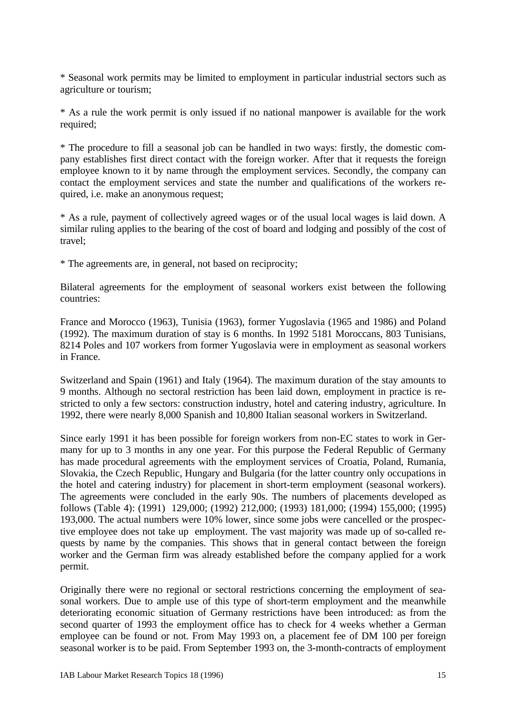\* Seasonal work permits may be limited to employment in particular industrial sectors such as agriculture or tourism;

\* As a rule the work permit is only issued if no national manpower is available for the work required;

\* The procedure to fill a seasonal job can be handled in two ways: firstly, the domestic company establishes first direct contact with the foreign worker. After that it requests the foreign employee known to it by name through the employment services. Secondly, the company can contact the employment services and state the number and qualifications of the workers required, i.e. make an anonymous request;

\* As a rule, payment of collectively agreed wages or of the usual local wages is laid down. A similar ruling applies to the bearing of the cost of board and lodging and possibly of the cost of travel;

\* The agreements are, in general, not based on reciprocity;

Bilateral agreements for the employment of seasonal workers exist between the following countries:

France and Morocco (1963), Tunisia (1963), former Yugoslavia (1965 and 1986) and Poland (1992). The maximum duration of stay is 6 months. In 1992 5181 Moroccans, 803 Tunisians, 8214 Poles and 107 workers from former Yugoslavia were in employment as seasonal workers in France.

Switzerland and Spain (1961) and Italy (1964). The maximum duration of the stay amounts to 9 months. Although no sectoral restriction has been laid down, employment in practice is restricted to only a few sectors: construction industry, hotel and catering industry, agriculture. In 1992, there were nearly 8,000 Spanish and 10,800 Italian seasonal workers in Switzerland.

Since early 1991 it has been possible for foreign workers from non-EC states to work in Germany for up to 3 months in any one year. For this purpose the Federal Republic of Germany has made procedural agreements with the employment services of Croatia, Poland, Rumania, Slovakia, the Czech Republic, Hungary and Bulgaria (for the latter country only occupations in the hotel and catering industry) for placement in short-term employment (seasonal workers). The agreements were concluded in the early 90s. The numbers of placements developed as follows (Table 4): (1991) 129,000; (1992) 212,000; (1993) 181,000; (1994) 155,000; (1995) 193,000. The actual numbers were 10% lower, since some jobs were cancelled or the prospective employee does not take up employment. The vast majority was made up of so-called requests by name by the companies. This shows that in general contact between the foreign worker and the German firm was already established before the company applied for a work permit.

Originally there were no regional or sectoral restrictions concerning the employment of seasonal workers. Due to ample use of this type of short-term employment and the meanwhile deteriorating economic situation of Germany restrictions have been introduced: as from the second quarter of 1993 the employment office has to check for 4 weeks whether a German employee can be found or not. From May 1993 on, a placement fee of DM 100 per foreign seasonal worker is to be paid. From September 1993 on, the 3-month-contracts of employment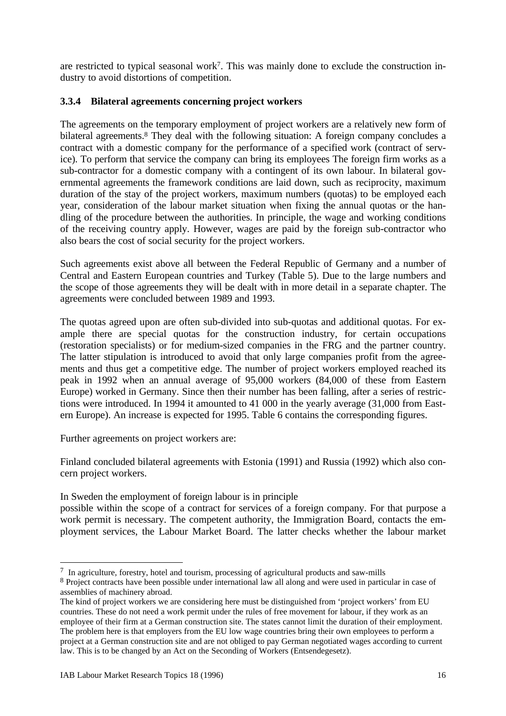are restricted to typical seasonal work<sup>7</sup> . This was mainly done to exclude the construction industry to avoid distortions of competition.

## **3.3.4 Bilateral agreements concerning project workers**

The agreements on the temporary employment of project workers are a relatively new form of bilateral agreements.<sup>8</sup> They deal with the following situation: A foreign company concludes a contract with a domestic company for the performance of a specified work (contract of service). To perform that service the company can bring its employees The foreign firm works as a sub-contractor for a domestic company with a contingent of its own labour. In bilateral governmental agreements the framework conditions are laid down, such as reciprocity, maximum duration of the stay of the project workers, maximum numbers (quotas) to be employed each year, consideration of the labour market situation when fixing the annual quotas or the handling of the procedure between the authorities. In principle, the wage and working conditions of the receiving country apply. However, wages are paid by the foreign sub-contractor who also bears the cost of social security for the project workers.

Such agreements exist above all between the Federal Republic of Germany and a number of Central and Eastern European countries and Turkey (Table 5). Due to the large numbers and the scope of those agreements they will be dealt with in more detail in a separate chapter. The agreements were concluded between 1989 and 1993.

The quotas agreed upon are often sub-divided into sub-quotas and additional quotas. For example there are special quotas for the construction industry, for certain occupations (restoration specialists) or for medium-sized companies in the FRG and the partner country. The latter stipulation is introduced to avoid that only large companies profit from the agreements and thus get a competitive edge. The number of project workers employed reached its peak in 1992 when an annual average of 95,000 workers (84,000 of these from Eastern Europe) worked in Germany. Since then their number has been falling, after a series of restrictions were introduced. In 1994 it amounted to 41 000 in the yearly average (31,000 from Eastern Europe). An increase is expected for 1995. Table 6 contains the corresponding figures.

Further agreements on project workers are:

Finland concluded bilateral agreements with Estonia (1991) and Russia (1992) which also concern project workers.

In Sweden the employment of foreign labour is in principle

possible within the scope of a contract for services of a foreign company. For that purpose a work permit is necessary. The competent authority, the Immigration Board, contacts the employment services, the Labour Market Board. The latter checks whether the labour market

 $\overline{a}$ <sup>7</sup> In agriculture, forestry, hotel and tourism, processing of agricultural products and saw-mills

<sup>&</sup>lt;sup>8</sup> Project contracts have been possible under international law all along and were used in particular in case of assemblies of machinery abroad.

The kind of project workers we are considering here must be distinguished from 'project workers' from EU countries. These do not need a work permit under the rules of free movement for labour, if they work as an employee of their firm at a German construction site. The states cannot limit the duration of their employment. The problem here is that employers from the EU low wage countries bring their own employees to perform a project at a German construction site and are not obliged to pay German negotiated wages according to current law. This is to be changed by an Act on the Seconding of Workers (Entsendegesetz).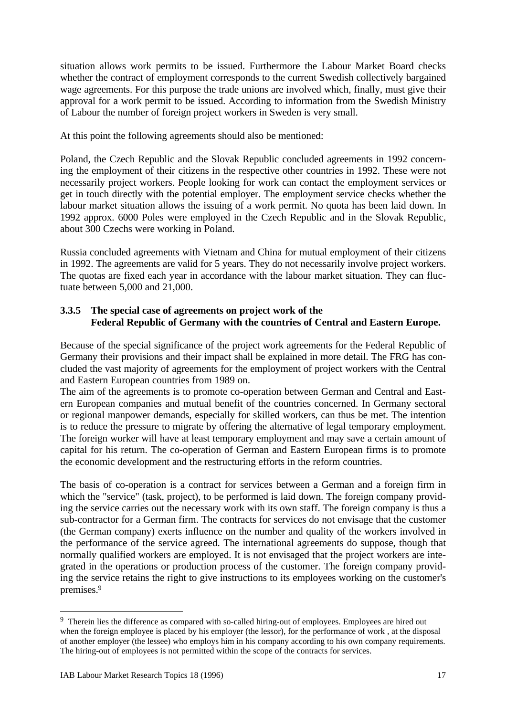situation allows work permits to be issued. Furthermore the Labour Market Board checks whether the contract of employment corresponds to the current Swedish collectively bargained wage agreements. For this purpose the trade unions are involved which, finally, must give their approval for a work permit to be issued. According to information from the Swedish Ministry of Labour the number of foreign project workers in Sweden is very small.

At this point the following agreements should also be mentioned:

Poland, the Czech Republic and the Slovak Republic concluded agreements in 1992 concerning the employment of their citizens in the respective other countries in 1992. These were not necessarily project workers. People looking for work can contact the employment services or get in touch directly with the potential employer. The employment service checks whether the labour market situation allows the issuing of a work permit. No quota has been laid down. In 1992 approx. 6000 Poles were employed in the Czech Republic and in the Slovak Republic, about 300 Czechs were working in Poland.

Russia concluded agreements with Vietnam and China for mutual employment of their citizens in 1992. The agreements are valid for 5 years. They do not necessarily involve project workers. The quotas are fixed each year in accordance with the labour market situation. They can fluctuate between 5,000 and 21,000.

## **3.3.5 The special case of agreements on project work of the Federal Republic of Germany with the countries of Central and Eastern Europe.**

Because of the special significance of the project work agreements for the Federal Republic of Germany their provisions and their impact shall be explained in more detail. The FRG has concluded the vast majority of agreements for the employment of project workers with the Central and Eastern European countries from 1989 on.

The aim of the agreements is to promote co-operation between German and Central and Eastern European companies and mutual benefit of the countries concerned. In Germany sectoral or regional manpower demands, especially for skilled workers, can thus be met. The intention is to reduce the pressure to migrate by offering the alternative of legal temporary employment. The foreign worker will have at least temporary employment and may save a certain amount of capital for his return. The co-operation of German and Eastern European firms is to promote the economic development and the restructuring efforts in the reform countries.

The basis of co-operation is a contract for services between a German and a foreign firm in which the "service" (task, project), to be performed is laid down. The foreign company providing the service carries out the necessary work with its own staff. The foreign company is thus a sub-contractor for a German firm. The contracts for services do not envisage that the customer (the German company) exerts influence on the number and quality of the workers involved in the performance of the service agreed. The international agreements do suppose, though that normally qualified workers are employed. It is not envisaged that the project workers are integrated in the operations or production process of the customer. The foreign company providing the service retains the right to give instructions to its employees working on the customer's premises.<sup>9</sup>

 $\overline{a}$ 

<sup>&</sup>lt;sup>9</sup> Therein lies the difference as compared with so-called hiring-out of employees. Employees are hired out when the foreign employee is placed by his employer (the lessor), for the performance of work , at the disposal of another employer (the lessee) who employs him in his company according to his own company requirements. The hiring-out of employees is not permitted within the scope of the contracts for services.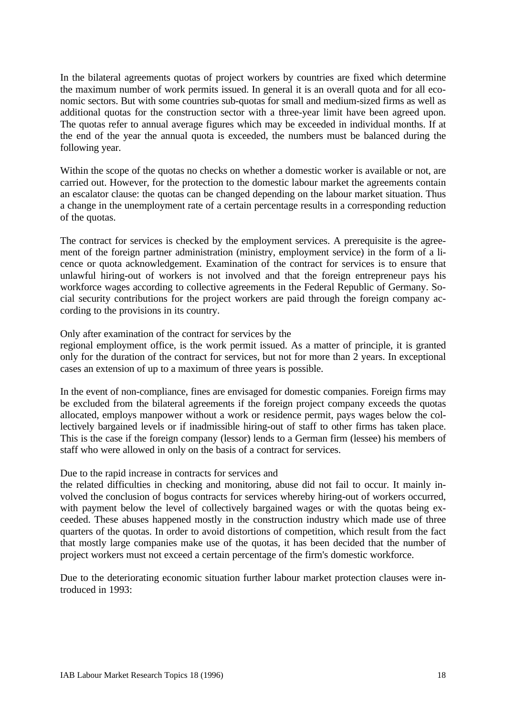In the bilateral agreements quotas of project workers by countries are fixed which determine the maximum number of work permits issued. In general it is an overall quota and for all economic sectors. But with some countries sub-quotas for small and medium-sized firms as well as additional quotas for the construction sector with a three-year limit have been agreed upon. The quotas refer to annual average figures which may be exceeded in individual months. If at the end of the year the annual quota is exceeded, the numbers must be balanced during the following year.

Within the scope of the quotas no checks on whether a domestic worker is available or not, are carried out. However, for the protection to the domestic labour market the agreements contain an escalator clause: the quotas can be changed depending on the labour market situation. Thus a change in the unemployment rate of a certain percentage results in a corresponding reduction of the quotas.

The contract for services is checked by the employment services. A prerequisite is the agreement of the foreign partner administration (ministry, employment service) in the form of a licence or quota acknowledgement. Examination of the contract for services is to ensure that unlawful hiring-out of workers is not involved and that the foreign entrepreneur pays his workforce wages according to collective agreements in the Federal Republic of Germany. Social security contributions for the project workers are paid through the foreign company according to the provisions in its country.

Only after examination of the contract for services by the

regional employment office, is the work permit issued. As a matter of principle, it is granted only for the duration of the contract for services, but not for more than 2 years. In exceptional cases an extension of up to a maximum of three years is possible.

In the event of non-compliance, fines are envisaged for domestic companies. Foreign firms may be excluded from the bilateral agreements if the foreign project company exceeds the quotas allocated, employs manpower without a work or residence permit, pays wages below the collectively bargained levels or if inadmissible hiring-out of staff to other firms has taken place. This is the case if the foreign company (lessor) lends to a German firm (lessee) his members of staff who were allowed in only on the basis of a contract for services.

#### Due to the rapid increase in contracts for services and

the related difficulties in checking and monitoring, abuse did not fail to occur. It mainly involved the conclusion of bogus contracts for services whereby hiring-out of workers occurred, with payment below the level of collectively bargained wages or with the quotas being exceeded. These abuses happened mostly in the construction industry which made use of three quarters of the quotas. In order to avoid distortions of competition, which result from the fact that mostly large companies make use of the quotas, it has been decided that the number of project workers must not exceed a certain percentage of the firm's domestic workforce.

Due to the deteriorating economic situation further labour market protection clauses were introduced in 1993: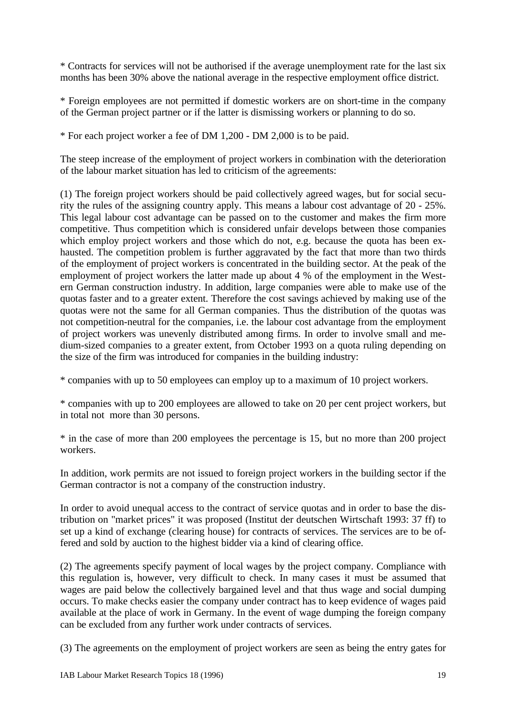\* Contracts for services will not be authorised if the average unemployment rate for the last six months has been 30% above the national average in the respective employment office district.

\* Foreign employees are not permitted if domestic workers are on short-time in the company of the German project partner or if the latter is dismissing workers or planning to do so.

\* For each project worker a fee of DM 1,200 - DM 2,000 is to be paid.

The steep increase of the employment of project workers in combination with the deterioration of the labour market situation has led to criticism of the agreements:

(1) The foreign project workers should be paid collectively agreed wages, but for social security the rules of the assigning country apply. This means a labour cost advantage of 20 - 25%. This legal labour cost advantage can be passed on to the customer and makes the firm more competitive. Thus competition which is considered unfair develops between those companies which employ project workers and those which do not, e.g. because the quota has been exhausted. The competition problem is further aggravated by the fact that more than two thirds of the employment of project workers is concentrated in the building sector. At the peak of the employment of project workers the latter made up about 4 % of the employment in the Western German construction industry. In addition, large companies were able to make use of the quotas faster and to a greater extent. Therefore the cost savings achieved by making use of the quotas were not the same for all German companies. Thus the distribution of the quotas was not competition-neutral for the companies, i.e. the labour cost advantage from the employment of project workers was unevenly distributed among firms. In order to involve small and medium-sized companies to a greater extent, from October 1993 on a quota ruling depending on the size of the firm was introduced for companies in the building industry:

\* companies with up to 50 employees can employ up to a maximum of 10 project workers.

\* companies with up to 200 employees are allowed to take on 20 per cent project workers, but in total not more than 30 persons.

\* in the case of more than 200 employees the percentage is 15, but no more than 200 project workers.

In addition, work permits are not issued to foreign project workers in the building sector if the German contractor is not a company of the construction industry.

In order to avoid unequal access to the contract of service quotas and in order to base the distribution on "market prices" it was proposed (Institut der deutschen Wirtschaft 1993: 37 ff) to set up a kind of exchange (clearing house) for contracts of services. The services are to be offered and sold by auction to the highest bidder via a kind of clearing office.

(2) The agreements specify payment of local wages by the project company. Compliance with this regulation is, however, very difficult to check. In many cases it must be assumed that wages are paid below the collectively bargained level and that thus wage and social dumping occurs. To make checks easier the company under contract has to keep evidence of wages paid available at the place of work in Germany. In the event of wage dumping the foreign company can be excluded from any further work under contracts of services.

(3) The agreements on the employment of project workers are seen as being the entry gates for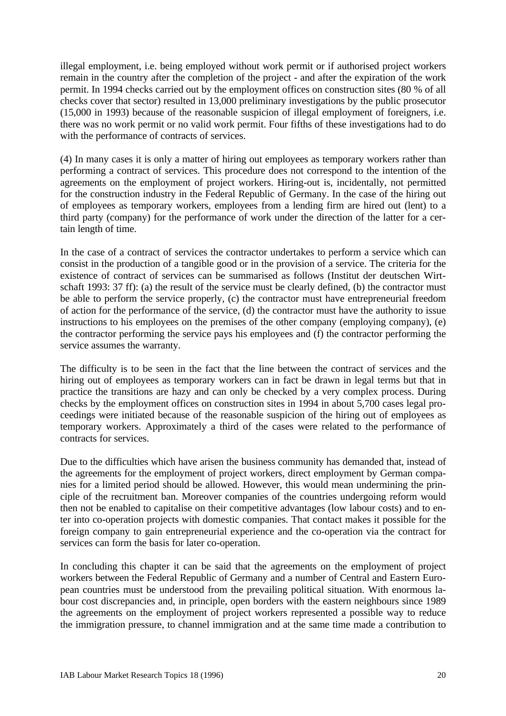illegal employment, i.e. being employed without work permit or if authorised project workers remain in the country after the completion of the project - and after the expiration of the work permit. In 1994 checks carried out by the employment offices on construction sites (80 % of all checks cover that sector) resulted in 13,000 preliminary investigations by the public prosecutor (15,000 in 1993) because of the reasonable suspicion of illegal employment of foreigners, i.e. there was no work permit or no valid work permit. Four fifths of these investigations had to do with the performance of contracts of services.

(4) In many cases it is only a matter of hiring out employees as temporary workers rather than performing a contract of services. This procedure does not correspond to the intention of the agreements on the employment of project workers. Hiring-out is, incidentally, not permitted for the construction industry in the Federal Republic of Germany. In the case of the hiring out of employees as temporary workers, employees from a lending firm are hired out (lent) to a third party (company) for the performance of work under the direction of the latter for a certain length of time.

In the case of a contract of services the contractor undertakes to perform a service which can consist in the production of a tangible good or in the provision of a service. The criteria for the existence of contract of services can be summarised as follows (Institut der deutschen Wirtschaft 1993: 37 ff): (a) the result of the service must be clearly defined, (b) the contractor must be able to perform the service properly, (c) the contractor must have entrepreneurial freedom of action for the performance of the service, (d) the contractor must have the authority to issue instructions to his employees on the premises of the other company (employing company), (e) the contractor performing the service pays his employees and (f) the contractor performing the service assumes the warranty.

The difficulty is to be seen in the fact that the line between the contract of services and the hiring out of employees as temporary workers can in fact be drawn in legal terms but that in practice the transitions are hazy and can only be checked by a very complex process. During checks by the employment offices on construction sites in 1994 in about 5,700 cases legal proceedings were initiated because of the reasonable suspicion of the hiring out of employees as temporary workers. Approximately a third of the cases were related to the performance of contracts for services.

Due to the difficulties which have arisen the business community has demanded that, instead of the agreements for the employment of project workers, direct employment by German companies for a limited period should be allowed. However, this would mean undermining the principle of the recruitment ban. Moreover companies of the countries undergoing reform would then not be enabled to capitalise on their competitive advantages (low labour costs) and to enter into co-operation projects with domestic companies. That contact makes it possible for the foreign company to gain entrepreneurial experience and the co-operation via the contract for services can form the basis for later co-operation.

In concluding this chapter it can be said that the agreements on the employment of project workers between the Federal Republic of Germany and a number of Central and Eastern European countries must be understood from the prevailing political situation. With enormous labour cost discrepancies and, in principle, open borders with the eastern neighbours since 1989 the agreements on the employment of project workers represented a possible way to reduce the immigration pressure, to channel immigration and at the same time made a contribution to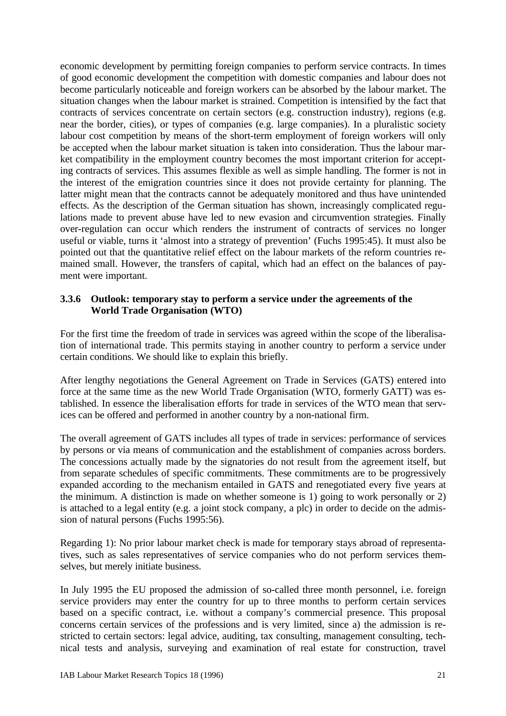economic development by permitting foreign companies to perform service contracts. In times of good economic development the competition with domestic companies and labour does not become particularly noticeable and foreign workers can be absorbed by the labour market. The situation changes when the labour market is strained. Competition is intensified by the fact that contracts of services concentrate on certain sectors (e.g. construction industry), regions (e.g. near the border, cities), or types of companies (e.g. large companies). In a pluralistic society labour cost competition by means of the short-term employment of foreign workers will only be accepted when the labour market situation is taken into consideration. Thus the labour market compatibility in the employment country becomes the most important criterion for accepting contracts of services. This assumes flexible as well as simple handling. The former is not in the interest of the emigration countries since it does not provide certainty for planning. The latter might mean that the contracts cannot be adequately monitored and thus have unintended effects. As the description of the German situation has shown, increasingly complicated regulations made to prevent abuse have led to new evasion and circumvention strategies. Finally over-regulation can occur which renders the instrument of contracts of services no longer useful or viable, turns it 'almost into a strategy of prevention' (Fuchs 1995:45). It must also be pointed out that the quantitative relief effect on the labour markets of the reform countries remained small. However, the transfers of capital, which had an effect on the balances of payment were important.

#### **3.3.6 Outlook: temporary stay to perform a service under the agreements of the World Trade Organisation (WTO)**

For the first time the freedom of trade in services was agreed within the scope of the liberalisation of international trade. This permits staying in another country to perform a service under certain conditions. We should like to explain this briefly.

After lengthy negotiations the General Agreement on Trade in Services (GATS) entered into force at the same time as the new World Trade Organisation (WTO, formerly GATT) was established. In essence the liberalisation efforts for trade in services of the WTO mean that services can be offered and performed in another country by a non-national firm.

The overall agreement of GATS includes all types of trade in services: performance of services by persons or via means of communication and the establishment of companies across borders. The concessions actually made by the signatories do not result from the agreement itself, but from separate schedules of specific commitments. These commitments are to be progressively expanded according to the mechanism entailed in GATS and renegotiated every five years at the minimum. A distinction is made on whether someone is 1) going to work personally or 2) is attached to a legal entity (e.g. a joint stock company, a plc) in order to decide on the admission of natural persons (Fuchs 1995:56).

Regarding 1): No prior labour market check is made for temporary stays abroad of representatives, such as sales representatives of service companies who do not perform services themselves, but merely initiate business.

In July 1995 the EU proposed the admission of so-called three month personnel, i.e. foreign service providers may enter the country for up to three months to perform certain services based on a specific contract, i.e. without a company's commercial presence. This proposal concerns certain services of the professions and is very limited, since a) the admission is restricted to certain sectors: legal advice, auditing, tax consulting, management consulting, technical tests and analysis, surveying and examination of real estate for construction, travel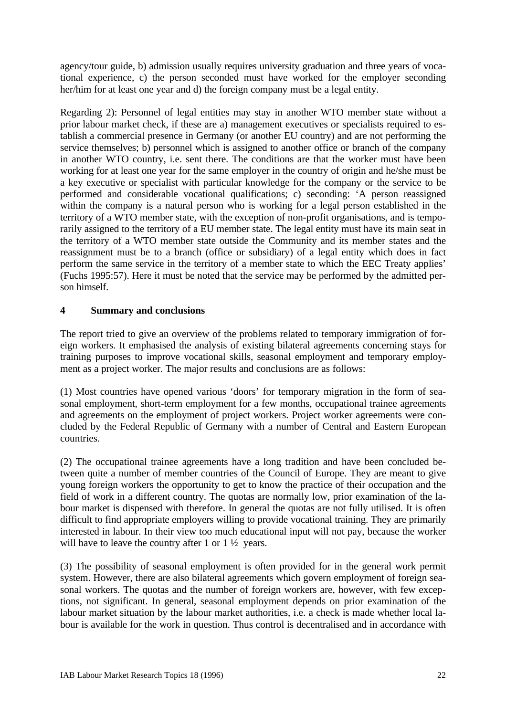agency/tour guide, b) admission usually requires university graduation and three years of vocational experience, c) the person seconded must have worked for the employer seconding her/him for at least one year and d) the foreign company must be a legal entity.

Regarding 2): Personnel of legal entities may stay in another WTO member state without a prior labour market check, if these are a) management executives or specialists required to establish a commercial presence in Germany (or another EU country) and are not performing the service themselves; b) personnel which is assigned to another office or branch of the company in another WTO country, i.e. sent there. The conditions are that the worker must have been working for at least one year for the same employer in the country of origin and he/she must be a key executive or specialist with particular knowledge for the company or the service to be performed and considerable vocational qualifications; c) seconding: 'A person reassigned within the company is a natural person who is working for a legal person established in the territory of a WTO member state, with the exception of non-profit organisations, and is temporarily assigned to the territory of a EU member state. The legal entity must have its main seat in the territory of a WTO member state outside the Community and its member states and the reassignment must be to a branch (office or subsidiary) of a legal entity which does in fact perform the same service in the territory of a member state to which the EEC Treaty applies' (Fuchs 1995:57). Here it must be noted that the service may be performed by the admitted person himself.

### **4 Summary and conclusions**

The report tried to give an overview of the problems related to temporary immigration of foreign workers. It emphasised the analysis of existing bilateral agreements concerning stays for training purposes to improve vocational skills, seasonal employment and temporary employment as a project worker. The major results and conclusions are as follows:

(1) Most countries have opened various 'doors' for temporary migration in the form of seasonal employment, short-term employment for a few months, occupational trainee agreements and agreements on the employment of project workers. Project worker agreements were concluded by the Federal Republic of Germany with a number of Central and Eastern European countries.

(2) The occupational trainee agreements have a long tradition and have been concluded between quite a number of member countries of the Council of Europe. They are meant to give young foreign workers the opportunity to get to know the practice of their occupation and the field of work in a different country. The quotas are normally low, prior examination of the labour market is dispensed with therefore. In general the quotas are not fully utilised. It is often difficult to find appropriate employers willing to provide vocational training. They are primarily interested in labour. In their view too much educational input will not pay, because the worker will have to leave the country after 1 or  $1\frac{1}{2}$  years.

(3) The possibility of seasonal employment is often provided for in the general work permit system. However, there are also bilateral agreements which govern employment of foreign seasonal workers. The quotas and the number of foreign workers are, however, with few exceptions, not significant. In general, seasonal employment depends on prior examination of the labour market situation by the labour market authorities, i.e. a check is made whether local labour is available for the work in question. Thus control is decentralised and in accordance with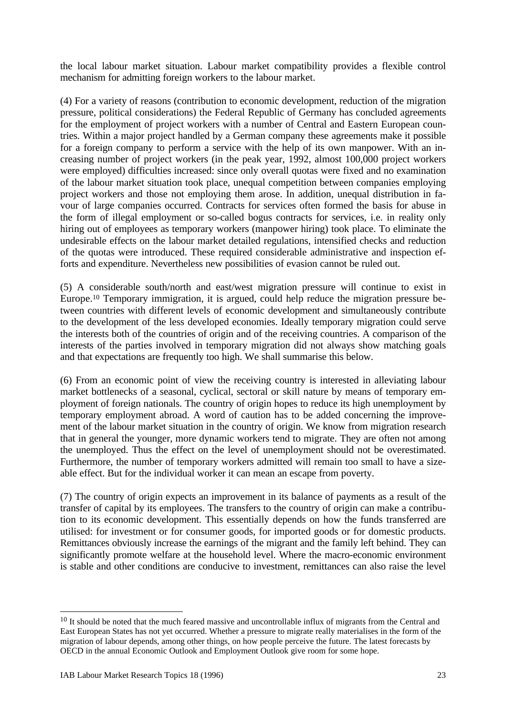the local labour market situation. Labour market compatibility provides a flexible control mechanism for admitting foreign workers to the labour market.

(4) For a variety of reasons (contribution to economic development, reduction of the migration pressure, political considerations) the Federal Republic of Germany has concluded agreements for the employment of project workers with a number of Central and Eastern European countries. Within a major project handled by a German company these agreements make it possible for a foreign company to perform a service with the help of its own manpower. With an increasing number of project workers (in the peak year, 1992, almost 100,000 project workers were employed) difficulties increased: since only overall quotas were fixed and no examination of the labour market situation took place, unequal competition between companies employing project workers and those not employing them arose. In addition, unequal distribution in favour of large companies occurred. Contracts for services often formed the basis for abuse in the form of illegal employment or so-called bogus contracts for services, i.e. in reality only hiring out of employees as temporary workers (manpower hiring) took place. To eliminate the undesirable effects on the labour market detailed regulations, intensified checks and reduction of the quotas were introduced. These required considerable administrative and inspection efforts and expenditure. Nevertheless new possibilities of evasion cannot be ruled out.

(5) A considerable south/north and east/west migration pressure will continue to exist in Europe.10 Temporary immigration, it is argued, could help reduce the migration pressure between countries with different levels of economic development and simultaneously contribute to the development of the less developed economies. Ideally temporary migration could serve the interests both of the countries of origin and of the receiving countries. A comparison of the interests of the parties involved in temporary migration did not always show matching goals and that expectations are frequently too high. We shall summarise this below.

(6) From an economic point of view the receiving country is interested in alleviating labour market bottlenecks of a seasonal, cyclical, sectoral or skill nature by means of temporary employment of foreign nationals. The country of origin hopes to reduce its high unemployment by temporary employment abroad. A word of caution has to be added concerning the improvement of the labour market situation in the country of origin. We know from migration research that in general the younger, more dynamic workers tend to migrate. They are often not among the unemployed. Thus the effect on the level of unemployment should not be overestimated. Furthermore, the number of temporary workers admitted will remain too small to have a sizeable effect. But for the individual worker it can mean an escape from poverty.

(7) The country of origin expects an improvement in its balance of payments as a result of the transfer of capital by its employees. The transfers to the country of origin can make a contribution to its economic development. This essentially depends on how the funds transferred are utilised: for investment or for consumer goods, for imported goods or for domestic products. Remittances obviously increase the earnings of the migrant and the family left behind. They can significantly promote welfare at the household level. Where the macro-economic environment is stable and other conditions are conducive to investment, remittances can also raise the level

 $\overline{a}$ 

<sup>&</sup>lt;sup>10</sup> It should be noted that the much feared massive and uncontrollable influx of migrants from the Central and East European States has not yet occurred. Whether a pressure to migrate really materialises in the form of the migration of labour depends, among other things, on how people perceive the future. The latest forecasts by OECD in the annual Economic Outlook and Employment Outlook give room for some hope.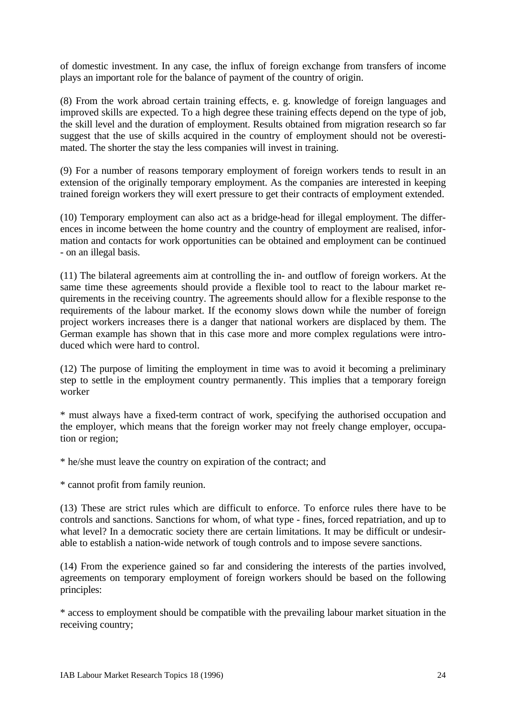of domestic investment. In any case, the influx of foreign exchange from transfers of income plays an important role for the balance of payment of the country of origin.

(8) From the work abroad certain training effects, e. g. knowledge of foreign languages and improved skills are expected. To a high degree these training effects depend on the type of job, the skill level and the duration of employment. Results obtained from migration research so far suggest that the use of skills acquired in the country of employment should not be overestimated. The shorter the stay the less companies will invest in training.

(9) For a number of reasons temporary employment of foreign workers tends to result in an extension of the originally temporary employment. As the companies are interested in keeping trained foreign workers they will exert pressure to get their contracts of employment extended.

(10) Temporary employment can also act as a bridge-head for illegal employment. The differences in income between the home country and the country of employment are realised, information and contacts for work opportunities can be obtained and employment can be continued - on an illegal basis.

(11) The bilateral agreements aim at controlling the in- and outflow of foreign workers. At the same time these agreements should provide a flexible tool to react to the labour market requirements in the receiving country. The agreements should allow for a flexible response to the requirements of the labour market. If the economy slows down while the number of foreign project workers increases there is a danger that national workers are displaced by them. The German example has shown that in this case more and more complex regulations were introduced which were hard to control.

(12) The purpose of limiting the employment in time was to avoid it becoming a preliminary step to settle in the employment country permanently. This implies that a temporary foreign worker

\* must always have a fixed-term contract of work, specifying the authorised occupation and the employer, which means that the foreign worker may not freely change employer, occupation or region;

\* he/she must leave the country on expiration of the contract; and

\* cannot profit from family reunion.

(13) These are strict rules which are difficult to enforce. To enforce rules there have to be controls and sanctions. Sanctions for whom, of what type - fines, forced repatriation, and up to what level? In a democratic society there are certain limitations. It may be difficult or undesirable to establish a nation-wide network of tough controls and to impose severe sanctions.

(14) From the experience gained so far and considering the interests of the parties involved, agreements on temporary employment of foreign workers should be based on the following principles:

\* access to employment should be compatible with the prevailing labour market situation in the receiving country;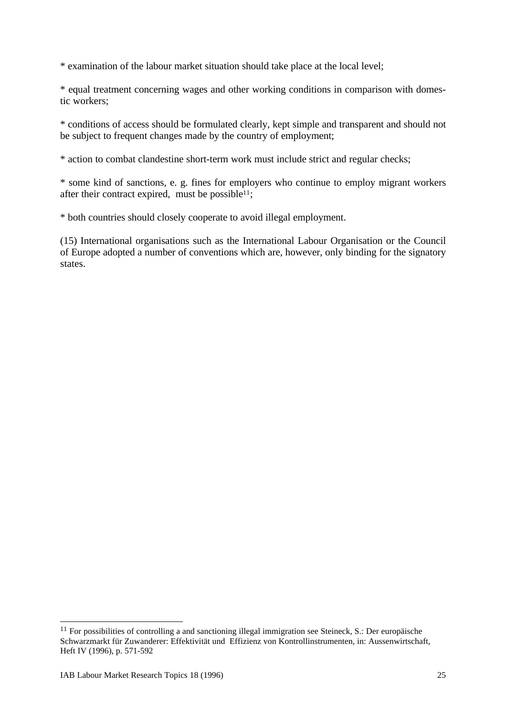\* examination of the labour market situation should take place at the local level;

\* equal treatment concerning wages and other working conditions in comparison with domestic workers;

\* conditions of access should be formulated clearly, kept simple and transparent and should not be subject to frequent changes made by the country of employment;

\* action to combat clandestine short-term work must include strict and regular checks;

\* some kind of sanctions, e. g. fines for employers who continue to employ migrant workers after their contract expired, must be possible<sup>11</sup>;

\* both countries should closely cooperate to avoid illegal employment.

(15) International organisations such as the International Labour Organisation or the Council of Europe adopted a number of conventions which are, however, only binding for the signatory states.

 $\overline{a}$ 

<sup>&</sup>lt;sup>11</sup> For possibilities of controlling a and sanctioning illegal immigration see Steineck, S.: Der europäische Schwarzmarkt für Zuwanderer: Effektivität und Effizienz von Kontrollinstrumenten, in: Aussenwirtschaft, Heft IV (1996), p. 571-592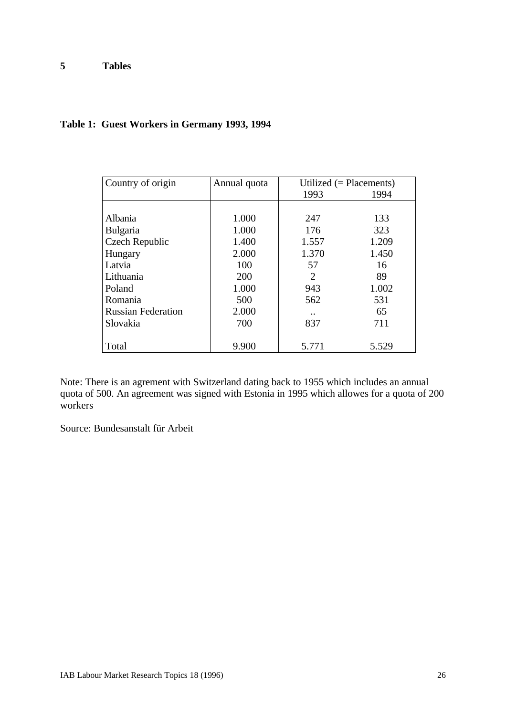# **Table 1: Guest Workers in Germany 1993, 1994**

| Country of origin         | Annual quota | Utilized $(=$ Placements) |       |  |
|---------------------------|--------------|---------------------------|-------|--|
|                           |              | 1993                      | 1994  |  |
|                           |              |                           |       |  |
| Albania                   | 1.000        | 247                       | 133   |  |
| <b>Bulgaria</b>           | 1.000        | 176                       | 323   |  |
| <b>Czech Republic</b>     | 1.400        | 1.557                     | 1.209 |  |
| Hungary                   | 2.000        | 1.370                     | 1.450 |  |
| Latvia                    | 100          | 57                        | 16    |  |
| Lithuania                 | 200          | $\overline{2}$            | 89    |  |
| Poland                    | 1.000        | 943                       | 1.002 |  |
| Romania                   | 500          | 562                       | 531   |  |
| <b>Russian Federation</b> | 2.000        | $\ddotsc$                 | 65    |  |
| Slovakia                  | 700          | 837                       | 711   |  |
|                           |              |                           |       |  |
| Total                     | 9.900        | 5.771                     | 5.529 |  |

Note: There is an agrement with Switzerland dating back to 1955 which includes an annual quota of 500. An agreement was signed with Estonia in 1995 which allowes for a quota of 200 workers

Source: Bundesanstalt für Arbeit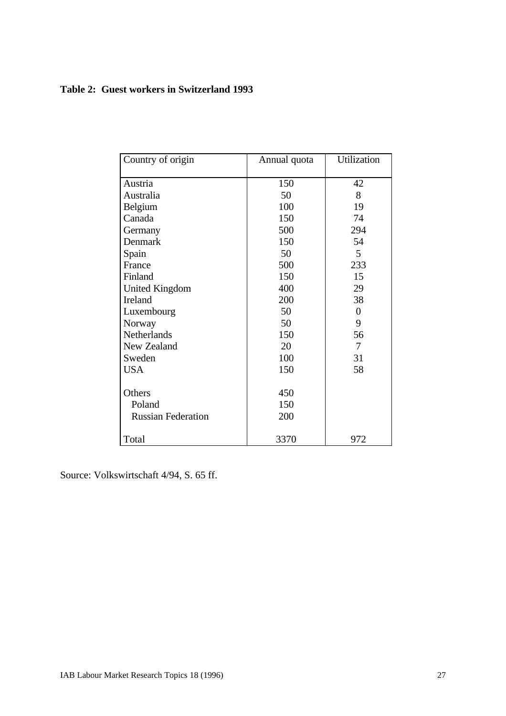### **Table 2: Guest workers in Switzerland 1993**

| Country of origin         | Annual quota | Utilization    |  |
|---------------------------|--------------|----------------|--|
|                           |              |                |  |
| Austria                   | 150          | 42             |  |
| Australia                 | 50           | 8              |  |
| Belgium                   | 100          | 19             |  |
| Canada                    | 150          | 74             |  |
| Germany                   | 500          | 294            |  |
| Denmark                   | 150          | 54             |  |
| Spain                     | 50           | 5              |  |
| France                    | 500          | 233            |  |
| Finland                   | 150          | 15             |  |
| <b>United Kingdom</b>     | 400          | 29             |  |
| Ireland                   | 200          | 38             |  |
| Luxembourg                | 50           | $\overline{0}$ |  |
| Norway                    | 50           | 9              |  |
| Netherlands               | 150          | 56             |  |
| New Zealand               | 20           | 7              |  |
| Sweden                    | 100          | 31             |  |
| <b>USA</b>                | 150          | 58             |  |
| Others                    | 450          |                |  |
| Poland                    | 150          |                |  |
| <b>Russian Federation</b> | 200          |                |  |
| Total                     | 3370         | 972            |  |

Source: Volkswirtschaft 4/94, S. 65 ff.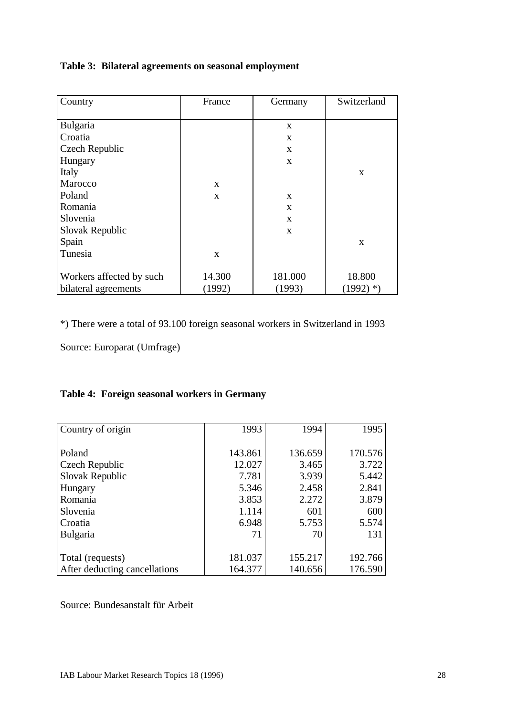## **Table 3: Bilateral agreements on seasonal employment**

| Country                  | France<br>Germany |              | Switzerland  |
|--------------------------|-------------------|--------------|--------------|
|                          |                   |              |              |
| Bulgaria                 |                   | $\mathbf{X}$ |              |
| Croatia                  |                   | X            |              |
| Czech Republic           |                   | X            |              |
| Hungary                  |                   | $\mathbf{X}$ |              |
| Italy                    |                   |              | $\mathbf{x}$ |
| Marocco                  | $\mathbf{x}$      |              |              |
| Poland                   | $\mathbf{x}$      | $\mathbf{X}$ |              |
| Romania                  |                   | $\mathbf{X}$ |              |
| Slovenia                 |                   | X            |              |
| Slovak Republic          |                   | $\mathbf{X}$ |              |
| Spain                    |                   |              | $\mathbf{x}$ |
| Tunesia                  | $\mathbf{x}$      |              |              |
|                          |                   |              |              |
| Workers affected by such | 14.300            | 181.000      | 18.800       |
| bilateral agreements     | (1992)            | (1993)       | $(1992)$ *)  |

\*) There were a total of 93.100 foreign seasonal workers in Switzerland in 1993

Source: Europarat (Umfrage)

# **Table 4: Foreign seasonal workers in Germany**

| Country of origin             | 1993    | 1994    | 1995    |
|-------------------------------|---------|---------|---------|
|                               |         |         |         |
| Poland                        | 143.861 | 136.659 | 170.576 |
| Czech Republic                | 12.027  | 3.465   | 3.722   |
| Slovak Republic               | 7.781   | 3.939   | 5.442   |
| Hungary                       | 5.346   | 2.458   | 2.841   |
| Romania                       | 3.853   | 2.272   | 3.879   |
| Slovenia                      | 1.114   | 601     | 600     |
| Croatia                       | 6.948   | 5.753   | 5.574   |
| <b>Bulgaria</b>               | 71      | 70      | 131     |
|                               |         |         |         |
| Total (requests)              | 181.037 | 155.217 | 192.766 |
| After deducting cancellations | 164.377 | 140.656 | 176.590 |

Source: Bundesanstalt für Arbeit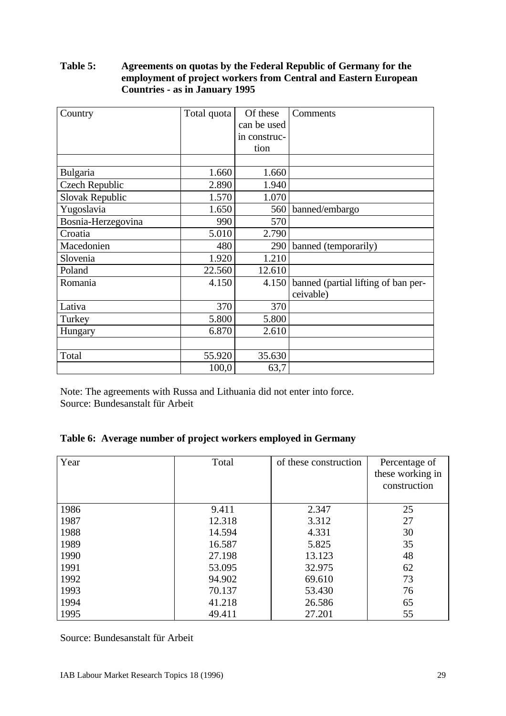### **Table 5: Agreements on quotas by the Federal Republic of Germany for the employment of project workers from Central and Eastern European Countries - as in January 1995**

| Country               | Total quota | Of these     | Comments                            |
|-----------------------|-------------|--------------|-------------------------------------|
|                       |             | can be used  |                                     |
|                       |             | in construc- |                                     |
|                       |             | tion         |                                     |
|                       |             |              |                                     |
| <b>Bulgaria</b>       | 1.660       | 1.660        |                                     |
| <b>Czech Republic</b> | 2.890       | 1.940        |                                     |
| Slovak Republic       | 1.570       | 1.070        |                                     |
| Yugoslavia            | 1.650       | 560          | banned/embargo                      |
| Bosnia-Herzegovina    | 990         | 570          |                                     |
| Croatia               | 5.010       | 2.790        |                                     |
| Macedonien            | 480         | 290          | banned (temporarily)                |
| Slovenia              | 1.920       | 1.210        |                                     |
| Poland                | 22.560      | 12.610       |                                     |
| Romania               | 4.150       | 4.150        | banned (partial lifting of ban per- |
|                       |             |              | ceivable)                           |
| Lativa                | 370         | 370          |                                     |
| Turkey                | 5.800       | 5.800        |                                     |
| Hungary               | 6.870       | 2.610        |                                     |
|                       |             |              |                                     |
| Total                 | 55.920      | 35.630       |                                     |
|                       | 100,0       | 63,7         |                                     |

Note: The agreements with Russa and Lithuania did not enter into force. Source: Bundesanstalt für Arbeit

| Table 6: Average number of project workers employed in Germany |  |  |  |  |
|----------------------------------------------------------------|--|--|--|--|
|                                                                |  |  |  |  |

| Year | Total  | of these construction | Percentage of<br>these working in<br>construction |
|------|--------|-----------------------|---------------------------------------------------|
| 1986 | 9.411  | 2.347                 | 25                                                |
| 1987 | 12.318 | 3.312                 | 27                                                |
| 1988 | 14.594 | 4.331                 | 30                                                |
| 1989 | 16.587 | 5.825                 | 35                                                |
| 1990 | 27.198 | 13.123                | 48                                                |
| 1991 | 53.095 | 32.975                | 62                                                |
| 1992 | 94.902 | 69.610                | 73                                                |
| 1993 | 70.137 | 53.430                | 76                                                |
| 1994 | 41.218 | 26.586                | 65                                                |
| 1995 | 49.411 | 27.201                | 55                                                |

Source: Bundesanstalt für Arbeit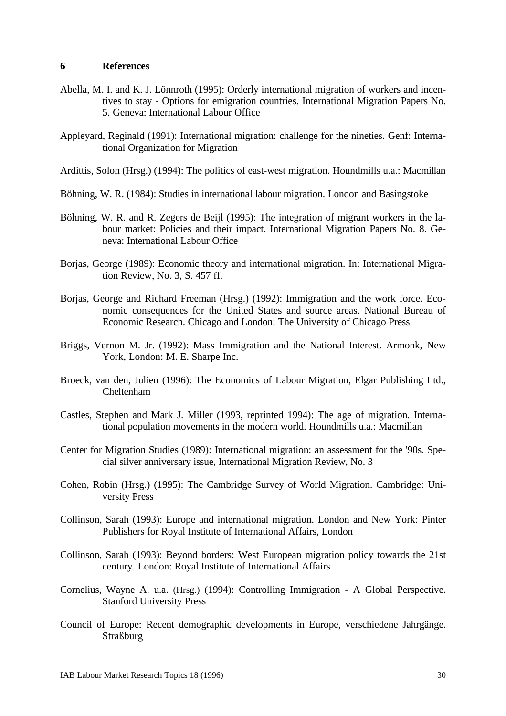#### **6 References**

- Abella, M. I. and K. J. Lönnroth (1995): Orderly international migration of workers and incentives to stay - Options for emigration countries. International Migration Papers No. 5. Geneva: International Labour Office
- Appleyard, Reginald (1991): International migration: challenge for the nineties. Genf: International Organization for Migration
- Ardittis, Solon (Hrsg.) (1994): The politics of east-west migration. Houndmills u.a.: Macmillan
- Böhning, W. R. (1984): Studies in international labour migration. London and Basingstoke
- Böhning, W. R. and R. Zegers de Beijl (1995): The integration of migrant workers in the labour market: Policies and their impact. International Migration Papers No. 8. Geneva: International Labour Office
- Borjas, George (1989): Economic theory and international migration. In: International Migration Review, No. 3, S. 457 ff.
- Borjas, George and Richard Freeman (Hrsg.) (1992): Immigration and the work force. Economic consequences for the United States and source areas. National Bureau of Economic Research. Chicago and London: The University of Chicago Press
- Briggs, Vernon M. Jr. (1992): Mass Immigration and the National Interest. Armonk, New York, London: M. E. Sharpe Inc.
- Broeck, van den, Julien (1996): The Economics of Labour Migration, Elgar Publishing Ltd., Cheltenham
- Castles, Stephen and Mark J. Miller (1993, reprinted 1994): The age of migration. International population movements in the modern world. Houndmills u.a.: Macmillan
- Center for Migration Studies (1989): International migration: an assessment for the '90s. Special silver anniversary issue, International Migration Review, No. 3
- Cohen, Robin (Hrsg.) (1995): The Cambridge Survey of World Migration. Cambridge: University Press
- Collinson, Sarah (1993): Europe and international migration. London and New York: Pinter Publishers for Royal Institute of International Affairs, London
- Collinson, Sarah (1993): Beyond borders: West European migration policy towards the 21st century. London: Royal Institute of International Affairs
- Cornelius, Wayne A. u.a. (Hrsg.) (1994): Controlling Immigration A Global Perspective. Stanford University Press
- Council of Europe: Recent demographic developments in Europe, verschiedene Jahrgänge. **Straßburg**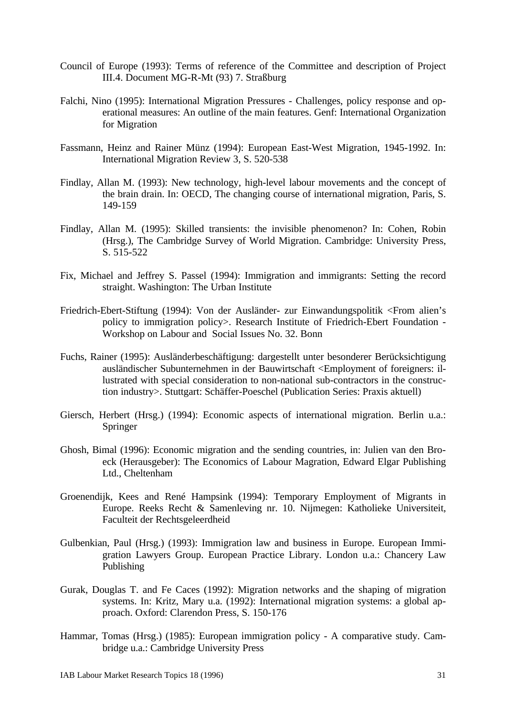- Council of Europe (1993): Terms of reference of the Committee and description of Project III.4. Document MG-R-Mt (93) 7. Straßburg
- Falchi, Nino (1995): International Migration Pressures Challenges, policy response and operational measures: An outline of the main features. Genf: International Organization for Migration
- Fassmann, Heinz and Rainer Münz (1994): European East-West Migration, 1945-1992. In: International Migration Review 3, S. 520-538
- Findlay, Allan M. (1993): New technology, high-level labour movements and the concept of the brain drain. In: OECD, The changing course of international migration, Paris, S. 149-159
- Findlay, Allan M. (1995): Skilled transients: the invisible phenomenon? In: Cohen, Robin (Hrsg.), The Cambridge Survey of World Migration. Cambridge: University Press, S. 515-522
- Fix, Michael and Jeffrey S. Passel (1994): Immigration and immigrants: Setting the record straight. Washington: The Urban Institute
- Friedrich-Ebert-Stiftung (1994): Von der Ausländer- zur Einwandungspolitik <From alien's policy to immigration policy>. Research Institute of Friedrich-Ebert Foundation - Workshop on Labour and Social Issues No. 32. Bonn
- Fuchs, Rainer (1995): Ausländerbeschäftigung: dargestellt unter besonderer Berücksichtigung ausländischer Subunternehmen in der Bauwirtschaft <Employment of foreigners: illustrated with special consideration to non-national sub-contractors in the construction industry>. Stuttgart: Schäffer-Poeschel (Publication Series: Praxis aktuell)
- Giersch, Herbert (Hrsg.) (1994): Economic aspects of international migration. Berlin u.a.: Springer
- Ghosh, Bimal (1996): Economic migration and the sending countries, in: Julien van den Broeck (Herausgeber): The Economics of Labour Magration, Edward Elgar Publishing Ltd., Cheltenham
- Groenendijk, Kees and René Hampsink (1994): Temporary Employment of Migrants in Europe. Reeks Recht & Samenleving nr. 10. Nijmegen: Katholieke Universiteit, Faculteit der Rechtsgeleerdheid
- Gulbenkian, Paul (Hrsg.) (1993): Immigration law and business in Europe. European Immigration Lawyers Group. European Practice Library. London u.a.: Chancery Law Publishing
- Gurak, Douglas T. and Fe Caces (1992): Migration networks and the shaping of migration systems. In: Kritz, Mary u.a. (1992): International migration systems: a global approach. Oxford: Clarendon Press, S. 150-176
- Hammar, Tomas (Hrsg.) (1985): European immigration policy A comparative study. Cambridge u.a.: Cambridge University Press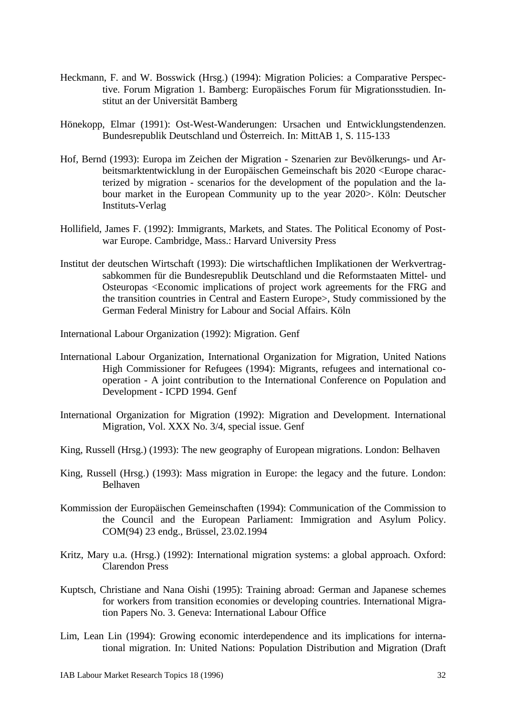- Heckmann, F. and W. Bosswick (Hrsg.) (1994): Migration Policies: a Comparative Perspective. Forum Migration 1. Bamberg: Europäisches Forum für Migrationsstudien. Institut an der Universität Bamberg
- Hönekopp, Elmar (1991): Ost-West-Wanderungen: Ursachen und Entwicklungstendenzen. Bundesrepublik Deutschland und Österreich. In: MittAB 1, S. 115-133
- Hof, Bernd (1993): Europa im Zeichen der Migration Szenarien zur Bevölkerungs- und Arbeitsmarktentwicklung in der Europäischen Gemeinschaft bis 2020 <Europe characterized by migration - scenarios for the development of the population and the labour market in the European Community up to the year 2020>. Köln: Deutscher Instituts-Verlag
- Hollifield, James F. (1992): Immigrants, Markets, and States. The Political Economy of Postwar Europe. Cambridge, Mass.: Harvard University Press
- Institut der deutschen Wirtschaft (1993): Die wirtschaftlichen Implikationen der Werkvertragsabkommen für die Bundesrepublik Deutschland und die Reformstaaten Mittel- und Osteuropas <Economic implications of project work agreements for the FRG and the transition countries in Central and Eastern Europe>, Study commissioned by the German Federal Ministry for Labour and Social Affairs. Köln

International Labour Organization (1992): Migration. Genf

- International Labour Organization, International Organization for Migration, United Nations High Commissioner for Refugees (1994): Migrants, refugees and international cooperation - A joint contribution to the International Conference on Population and Development - ICPD 1994. Genf
- International Organization for Migration (1992): Migration and Development. International Migration, Vol. XXX No. 3/4, special issue. Genf
- King, Russell (Hrsg.) (1993): The new geography of European migrations. London: Belhaven
- King, Russell (Hrsg.) (1993): Mass migration in Europe: the legacy and the future. London: Belhaven
- Kommission der Europäischen Gemeinschaften (1994): Communication of the Commission to the Council and the European Parliament: Immigration and Asylum Policy. COM(94) 23 endg., Brüssel, 23.02.1994
- Kritz, Mary u.a. (Hrsg.) (1992): International migration systems: a global approach. Oxford: Clarendon Press
- Kuptsch, Christiane and Nana Oishi (1995): Training abroad: German and Japanese schemes for workers from transition economies or developing countries. International Migration Papers No. 3. Geneva: International Labour Office
- Lim, Lean Lin (1994): Growing economic interdependence and its implications for international migration. In: United Nations: Population Distribution and Migration (Draft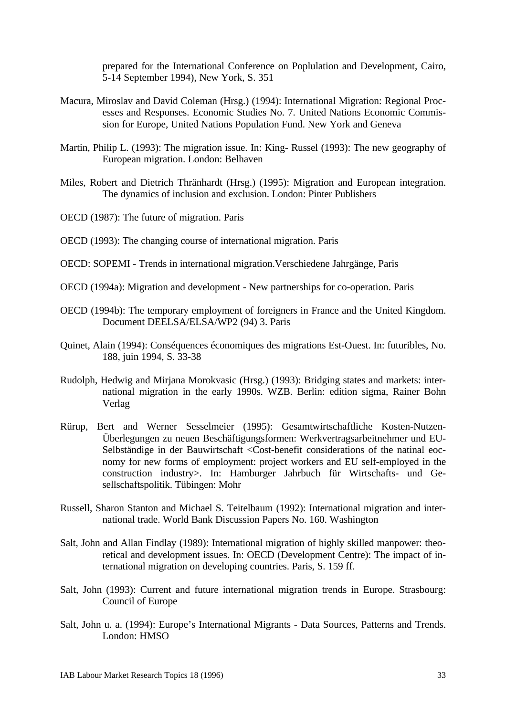prepared for the International Conference on Poplulation and Development, Cairo, 5-14 September 1994), New York, S. 351

- Macura, Miroslav and David Coleman (Hrsg.) (1994): International Migration: Regional Processes and Responses. Economic Studies No. 7. United Nations Economic Commission for Europe, United Nations Population Fund. New York and Geneva
- Martin, Philip L. (1993): The migration issue. In: King- Russel (1993): The new geography of European migration. London: Belhaven
- Miles, Robert and Dietrich Thränhardt (Hrsg.) (1995): Migration and European integration. The dynamics of inclusion and exclusion. London: Pinter Publishers
- OECD (1987): The future of migration. Paris
- OECD (1993): The changing course of international migration. Paris
- OECD: SOPEMI Trends in international migration.Verschiedene Jahrgänge, Paris
- OECD (1994a): Migration and development New partnerships for co-operation. Paris
- OECD (1994b): The temporary employment of foreigners in France and the United Kingdom. Document DEELSA/ELSA/WP2 (94) 3. Paris
- Quinet, Alain (1994): Conséquences économiques des migrations Est-Ouest. In: futuribles, No. 188, juin 1994, S. 33-38
- Rudolph, Hedwig and Mirjana Morokvasic (Hrsg.) (1993): Bridging states and markets: international migration in the early 1990s. WZB. Berlin: edition sigma, Rainer Bohn Verlag
- Rürup, Bert and Werner Sesselmeier (1995): Gesamtwirtschaftliche Kosten-Nutzen-Überlegungen zu neuen Beschäftigungsformen: Werkvertragsarbeitnehmer und EU-Selbständige in der Bauwirtschaft <Cost-benefit considerations of the natinal eocnomy for new forms of employment: project workers and EU self-employed in the construction industry>. In: Hamburger Jahrbuch für Wirtschafts- und Gesellschaftspolitik. Tübingen: Mohr
- Russell, Sharon Stanton and Michael S. Teitelbaum (1992): International migration and international trade. World Bank Discussion Papers No. 160. Washington
- Salt, John and Allan Findlay (1989): International migration of highly skilled manpower: theoretical and development issues. In: OECD (Development Centre): The impact of international migration on developing countries. Paris, S. 159 ff.
- Salt, John (1993): Current and future international migration trends in Europe. Strasbourg: Council of Europe
- Salt, John u. a. (1994): Europe's International Migrants Data Sources, Patterns and Trends. London: HMSO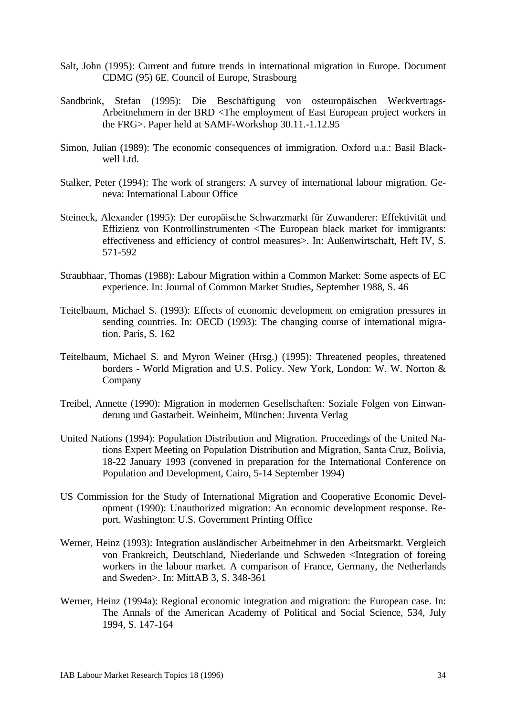- Salt, John (1995): Current and future trends in international migration in Europe. Document CDMG (95) 6E. Council of Europe, Strasbourg
- Sandbrink, Stefan (1995): Die Beschäftigung von osteuropäischen Werkvertrags-Arbeitnehmern in der BRD <The employment of East European project workers in the FRG>. Paper held at SAMF-Workshop 30.11.-1.12.95
- Simon, Julian (1989): The economic consequences of immigration. Oxford u.a.: Basil Blackwell Ltd.
- Stalker, Peter (1994): The work of strangers: A survey of international labour migration. Geneva: International Labour Office
- Steineck, Alexander (1995): Der europäische Schwarzmarkt für Zuwanderer: Effektivität und Effizienz von Kontrollinstrumenten <The European black market for immigrants: effectiveness and efficiency of control measures>. In: Außenwirtschaft, Heft IV, S. 571-592
- Straubhaar, Thomas (1988): Labour Migration within a Common Market: Some aspects of EC experience. In: Journal of Common Market Studies, September 1988, S. 46
- Teitelbaum, Michael S. (1993): Effects of economic development on emigration pressures in sending countries. In: OECD (1993): The changing course of international migration. Paris, S. 162
- Teitelbaum, Michael S. and Myron Weiner (Hrsg.) (1995): Threatened peoples, threatened borders - World Migration and U.S. Policy. New York, London: W. W. Norton & Company
- Treibel, Annette (1990): Migration in modernen Gesellschaften: Soziale Folgen von Einwanderung und Gastarbeit. Weinheim, München: Juventa Verlag
- United Nations (1994): Population Distribution and Migration. Proceedings of the United Nations Expert Meeting on Population Distribution and Migration, Santa Cruz, Bolivia, 18-22 January 1993 (convened in preparation for the International Conference on Population and Development, Cairo, 5-14 September 1994)
- US Commission for the Study of International Migration and Cooperative Economic Development (1990): Unauthorized migration: An economic development response. Report. Washington: U.S. Government Printing Office
- Werner, Heinz (1993): Integration ausländischer Arbeitnehmer in den Arbeitsmarkt. Vergleich von Frankreich, Deutschland, Niederlande und Schweden <Integration of foreing workers in the labour market. A comparison of France, Germany, the Netherlands and Sweden>. In: MittAB 3, S. 348-361
- Werner, Heinz (1994a): Regional economic integration and migration: the European case. In: The Annals of the American Academy of Political and Social Science, 534, July 1994, S. 147-164